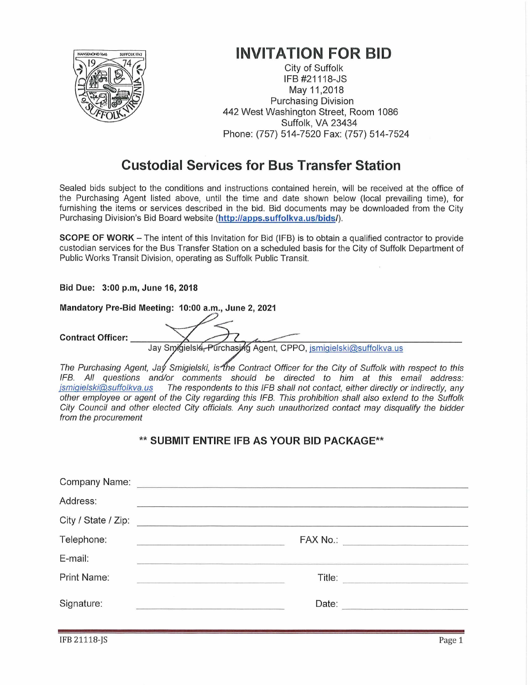

## **INVITATION FOR BID**

City of Suffolk IFB #21118-JS May 11,2018 **Purchasing Division** 442 West Washington Street, Room 1086 Suffolk, VA 23434 Phone: (757) 514-7520 Fax: (757) 514-7524

## **Custodial Services for Bus Transfer Station**

Sealed bids subject to the conditions and instructions contained herein, will be received at the office of the Purchasing Agent listed above, until the time and date shown below (local prevailing time), for furnishing the items or services described in the bid. Bid documents may be downloaded from the City Purchasing Division's Bid Board website (http://apps.suffolkva.us/bids/).

**SCOPE OF WORK** – The intent of this Invitation for Bid (IFB) is to obtain a qualified contractor to provide custodian services for the Bus Transfer Station on a scheduled basis for the City of Suffolk Department of Public Works Transit Division, operating as Suffolk Public Transit.

Bid Due: 3:00 p.m, June 16, 2018

Mandatory Pre-Bid Meeting: 10:00 a.m., June 2, 2021

**Contract Officer:** 

Jay Smigielski, Purchasjng Agent, CPPO, ismigielski@suffolkva.us

The Purchasing Agent, Jay Smigielski, is the Contract Officer for the City of Suffolk with respect to this IFB. All questions and/or comments should be directed to him at this email address: jsmigielski@suffolkva.us The respondents to this IFB shall not contact, either directly or indirectly, any other employee or agent of the City regarding this IFB. This prohibition shall also extend to the Suffolk City Council and other elected City officials. Any such unauthorized contact may disqualify the bidder from the procurement

## \*\* SUBMIT ENTIRE IFB AS YOUR BID PACKAGE\*\*

| Address:    |                                                                                                                                                                                                                                      |                                |
|-------------|--------------------------------------------------------------------------------------------------------------------------------------------------------------------------------------------------------------------------------------|--------------------------------|
|             |                                                                                                                                                                                                                                      |                                |
| Telephone:  |                                                                                                                                                                                                                                      | FAX No.: _____________________ |
| E-mail:     |                                                                                                                                                                                                                                      |                                |
| Print Name: |                                                                                                                                                                                                                                      |                                |
| Signature:  | <u>kontroller i Sammen i Sammen i Sammen i Sammen i Sammen i Sammen i Sammen i Sammen i Sammen i Sammen i Sammen i Sammen i Sammen i Sammen i Sammen i Sammen i Sammen i Sammen i Sammen i Sammen i Sammen i Sammen i Sammen i S</u> | Date:                          |
|             |                                                                                                                                                                                                                                      |                                |

**IFB 21118-IS**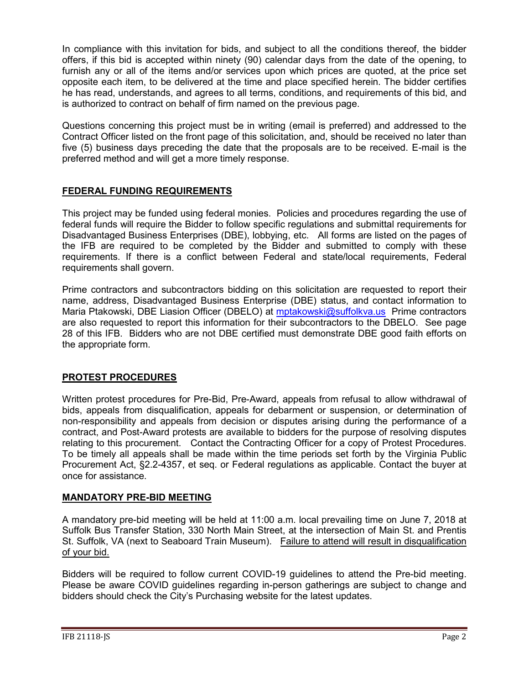In compliance with this invitation for bids, and subject to all the conditions thereof, the bidder offers, if this bid is accepted within ninety (90) calendar days from the date of the opening, to furnish any or all of the items and/or services upon which prices are quoted, at the price set opposite each item, to be delivered at the time and place specified herein. The bidder certifies he has read, understands, and agrees to all terms, conditions, and requirements of this bid, and is authorized to contract on behalf of firm named on the previous page.

Questions concerning this project must be in writing (email is preferred) and addressed to the Contract Officer listed on the front page of this solicitation, and, should be received no later than five (5) business days preceding the date that the proposals are to be received. E-mail is the preferred method and will get a more timely response.

## **FEDERAL FUNDING REQUIREMENTS**

This project may be funded using federal monies. Policies and procedures regarding the use of federal funds will require the Bidder to follow specific regulations and submittal requirements for Disadvantaged Business Enterprises (DBE), lobbying, etc. All forms are listed on the pages of the IFB are required to be completed by the Bidder and submitted to comply with these requirements. If there is a conflict between Federal and state/local requirements, Federal requirements shall govern.

Prime contractors and subcontractors bidding on this solicitation are requested to report their name, address, Disadvantaged Business Enterprise (DBE) status, and contact information to Maria Ptakowski, DBE Liasion Officer (DBELO) at [mptakowski@suffolkva.us](mailto:mptakowski@suffolkva.us) Prime contractors are also requested to report this information for their subcontractors to the DBELO. See page 28 of this IFB. Bidders who are not DBE certified must demonstrate DBE good faith efforts on the appropriate form.

## **PROTEST PROCEDURES**

Written protest procedures for Pre-Bid, Pre-Award, appeals from refusal to allow withdrawal of bids, appeals from disqualification, appeals for debarment or suspension, or determination of non-responsibility and appeals from decision or disputes arising during the performance of a contract, and Post-Award protests are available to bidders for the purpose of resolving disputes relating to this procurement. Contact the Contracting Officer for a copy of Protest Procedures. To be timely all appeals shall be made within the time periods set forth by the Virginia Public Procurement Act, §2.2-4357, et seq. or Federal regulations as applicable. Contact the buyer at once for assistance.

## **MANDATORY PRE-BID MEETING**

A mandatory pre-bid meeting will be held at 11:00 a.m. local prevailing time on June 7, 2018 at Suffolk Bus Transfer Station, 330 North Main Street, at the intersection of Main St. and Prentis St. Suffolk, VA (next to Seaboard Train Museum). Failure to attend will result in disqualification of your bid.

Bidders will be required to follow current COVID-19 guidelines to attend the Pre-bid meeting. Please be aware COVID guidelines regarding in-person gatherings are subject to change and bidders should check the City's Purchasing website for the latest updates.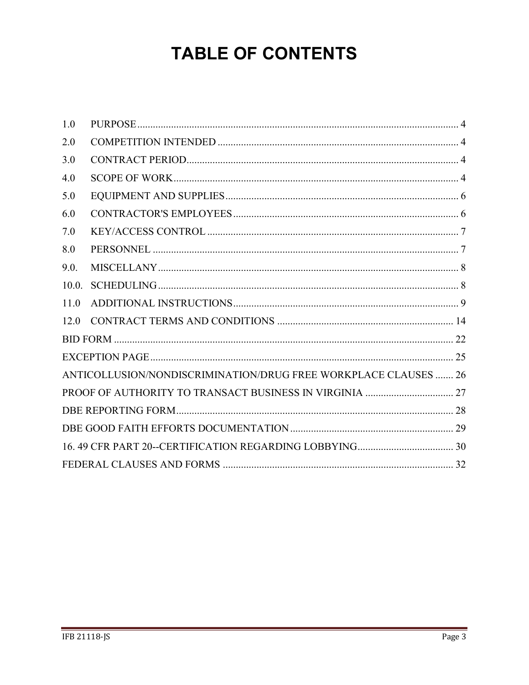## **TABLE OF CONTENTS**

| 1.0   |                                                                 |  |
|-------|-----------------------------------------------------------------|--|
| 2.0   |                                                                 |  |
| 3.0   |                                                                 |  |
| 4.0   |                                                                 |  |
| 5.0   |                                                                 |  |
| 6.0   |                                                                 |  |
| 7.0   |                                                                 |  |
| 8.0   |                                                                 |  |
| 9.0.  |                                                                 |  |
| 10.0. |                                                                 |  |
| 11.0  |                                                                 |  |
| 12.0  |                                                                 |  |
|       |                                                                 |  |
|       |                                                                 |  |
|       | ANTICOLLUSION/NONDISCRIMINATION/DRUG FREE WORKPLACE CLAUSES  26 |  |
|       |                                                                 |  |
|       |                                                                 |  |
|       |                                                                 |  |
|       |                                                                 |  |
|       |                                                                 |  |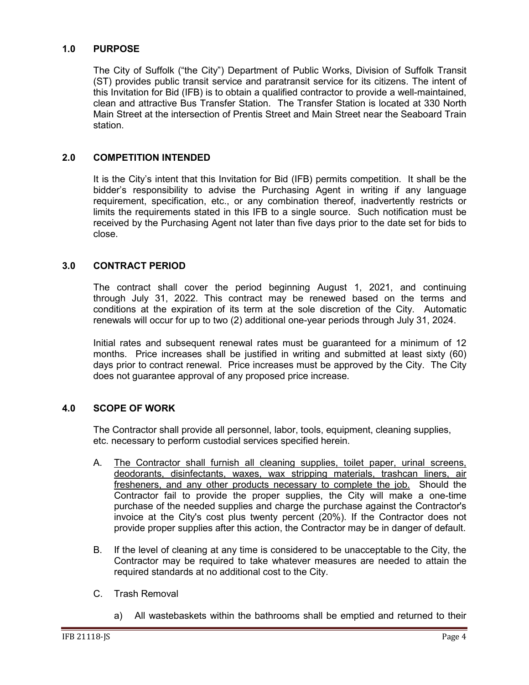## <span id="page-3-0"></span>**1.0 PURPOSE**

The City of Suffolk ("the City") Department of Public Works, Division of Suffolk Transit (ST) provides public transit service and paratransit service for its citizens. The intent of this Invitation for Bid (IFB) is to obtain a qualified contractor to provide a well-maintained, clean and attractive Bus Transfer Station. The Transfer Station is located at 330 North Main Street at the intersection of Prentis Street and Main Street near the Seaboard Train station.

## <span id="page-3-1"></span>**2.0 COMPETITION INTENDED**

It is the City's intent that this Invitation for Bid (IFB) permits competition. It shall be the bidder's responsibility to advise the Purchasing Agent in writing if any language requirement, specification, etc., or any combination thereof, inadvertently restricts or limits the requirements stated in this IFB to a single source. Such notification must be received by the Purchasing Agent not later than five days prior to the date set for bids to close.

## <span id="page-3-2"></span>**3.0 CONTRACT PERIOD**

The contract shall cover the period beginning August 1, 2021, and continuing through July 31, 2022. This contract may be renewed based on the terms and conditions at the expiration of its term at the sole discretion of the City. Automatic renewals will occur for up to two (2) additional one-year periods through July 31, 2024.

Initial rates and subsequent renewal rates must be guaranteed for a minimum of 12 months. Price increases shall be justified in writing and submitted at least sixty (60) days prior to contract renewal. Price increases must be approved by the City. The City does not guarantee approval of any proposed price increase.

#### <span id="page-3-3"></span>**4.0 SCOPE OF WORK**

The Contractor shall provide all personnel, labor, tools, equipment, cleaning supplies, etc. necessary to perform custodial services specified herein.

- A. The Contractor shall furnish all cleaning supplies, toilet paper, urinal screens, deodorants, disinfectants, waxes, wax stripping materials, trashcan liners, air fresheners, and any other products necessary to complete the job. Should the Contractor fail to provide the proper supplies, the City will make a one-time purchase of the needed supplies and charge the purchase against the Contractor's invoice at the City's cost plus twenty percent (20%). If the Contractor does not provide proper supplies after this action, the Contractor may be in danger of default.
- B. If the level of cleaning at any time is considered to be unacceptable to the City, the Contractor may be required to take whatever measures are needed to attain the required standards at no additional cost to the City.
- C. Trash Removal
	- a) All wastebaskets within the bathrooms shall be emptied and returned to their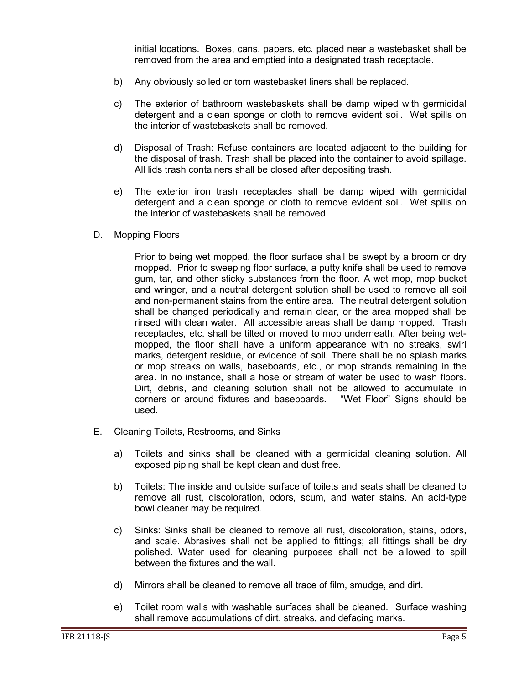initial locations. Boxes, cans, papers, etc. placed near a wastebasket shall be removed from the area and emptied into a designated trash receptacle.

- b) Any obviously soiled or torn wastebasket liners shall be replaced.
- c) The exterior of bathroom wastebaskets shall be damp wiped with germicidal detergent and a clean sponge or cloth to remove evident soil. Wet spills on the interior of wastebaskets shall be removed.
- d) Disposal of Trash: Refuse containers are located adjacent to the building for the disposal of trash. Trash shall be placed into the container to avoid spillage. All lids trash containers shall be closed after depositing trash.
- e) The exterior iron trash receptacles shall be damp wiped with germicidal detergent and a clean sponge or cloth to remove evident soil. Wet spills on the interior of wastebaskets shall be removed
- D. Mopping Floors

Prior to being wet mopped, the floor surface shall be swept by a broom or dry mopped. Prior to sweeping floor surface, a putty knife shall be used to remove gum, tar, and other sticky substances from the floor. A wet mop, mop bucket and wringer, and a neutral detergent solution shall be used to remove all soil and non-permanent stains from the entire area. The neutral detergent solution shall be changed periodically and remain clear, or the area mopped shall be rinsed with clean water. All accessible areas shall be damp mopped. Trash receptacles, etc. shall be tilted or moved to mop underneath. After being wetmopped, the floor shall have a uniform appearance with no streaks, swirl marks, detergent residue, or evidence of soil. There shall be no splash marks or mop streaks on walls, baseboards, etc., or mop strands remaining in the area. In no instance, shall a hose or stream of water be used to wash floors. Dirt, debris, and cleaning solution shall not be allowed to accumulate in corners or around fixtures and baseboards. "Wet Floor" Signs should be corners or around fixtures and baseboards. used.

- E. Cleaning Toilets, Restrooms, and Sinks
	- a) Toilets and sinks shall be cleaned with a germicidal cleaning solution. All exposed piping shall be kept clean and dust free.
	- b) Toilets: The inside and outside surface of toilets and seats shall be cleaned to remove all rust, discoloration, odors, scum, and water stains. An acid-type bowl cleaner may be required.
	- c) Sinks: Sinks shall be cleaned to remove all rust, discoloration, stains, odors, and scale. Abrasives shall not be applied to fittings; all fittings shall be dry polished. Water used for cleaning purposes shall not be allowed to spill between the fixtures and the wall.
	- d) Mirrors shall be cleaned to remove all trace of film, smudge, and dirt.
	- e) Toilet room walls with washable surfaces shall be cleaned. Surface washing shall remove accumulations of dirt, streaks, and defacing marks.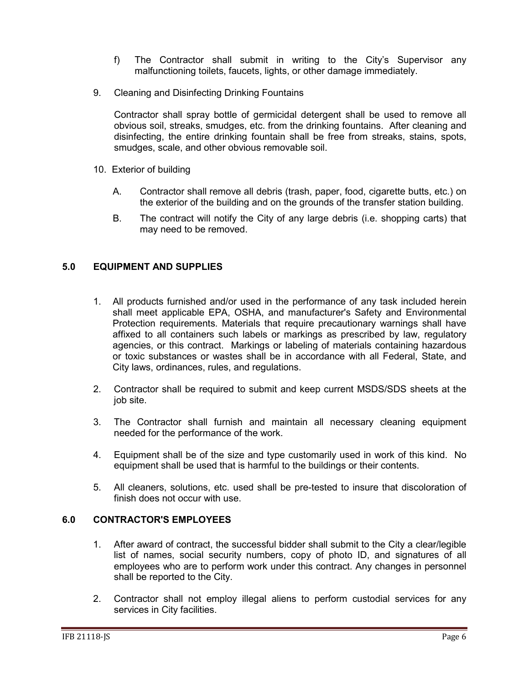- f) The Contractor shall submit in writing to the City's Supervisor any malfunctioning toilets, faucets, lights, or other damage immediately.
- 9. Cleaning and Disinfecting Drinking Fountains

Contractor shall spray bottle of germicidal detergent shall be used to remove all obvious soil, streaks, smudges, etc. from the drinking fountains. After cleaning and disinfecting, the entire drinking fountain shall be free from streaks, stains, spots, smudges, scale, and other obvious removable soil.

- 10. Exterior of building
	- A. Contractor shall remove all debris (trash, paper, food, cigarette butts, etc.) on the exterior of the building and on the grounds of the transfer station building.
	- B. The contract will notify the City of any large debris (i.e. shopping carts) that may need to be removed.

## <span id="page-5-0"></span>**5.0 EQUIPMENT AND SUPPLIES**

- 1. All products furnished and/or used in the performance of any task included herein shall meet applicable EPA, OSHA, and manufacturer's Safety and Environmental Protection requirements. Materials that require precautionary warnings shall have affixed to all containers such labels or markings as prescribed by law, regulatory agencies, or this contract. Markings or labeling of materials containing hazardous or toxic substances or wastes shall be in accordance with all Federal, State, and City laws, ordinances, rules, and regulations.
- 2. Contractor shall be required to submit and keep current MSDS/SDS sheets at the job site.
- 3. The Contractor shall furnish and maintain all necessary cleaning equipment needed for the performance of the work.
- 4. Equipment shall be of the size and type customarily used in work of this kind. No equipment shall be used that is harmful to the buildings or their contents.
- 5. All cleaners, solutions, etc. used shall be pre-tested to insure that discoloration of finish does not occur with use.

## <span id="page-5-1"></span>**6.0 CONTRACTOR'S EMPLOYEES**

- 1. After award of contract, the successful bidder shall submit to the City a clear/legible list of names, social security numbers, copy of photo ID, and signatures of all employees who are to perform work under this contract. Any changes in personnel shall be reported to the City.
- 2. Contractor shall not employ illegal aliens to perform custodial services for any services in City facilities.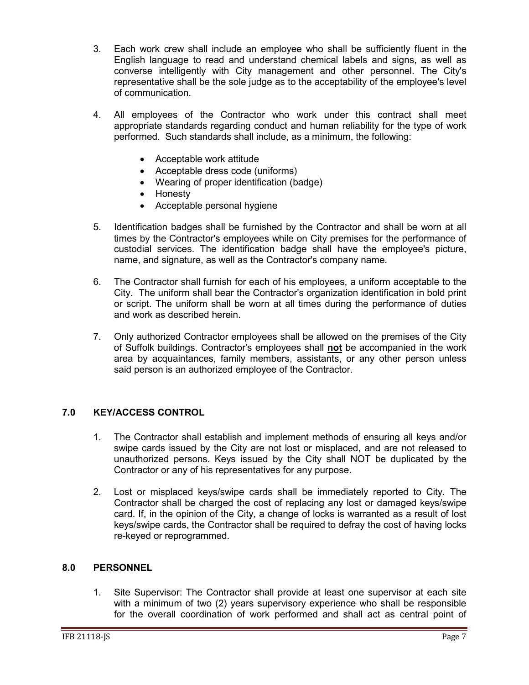- 3. Each work crew shall include an employee who shall be sufficiently fluent in the English language to read and understand chemical labels and signs, as well as converse intelligently with City management and other personnel. The City's representative shall be the sole judge as to the acceptability of the employee's level of communication.
- 4. All employees of the Contractor who work under this contract shall meet appropriate standards regarding conduct and human reliability for the type of work performed. Such standards shall include, as a minimum, the following:
	- Acceptable work attitude
	- Acceptable dress code (uniforms)
	- Wearing of proper identification (badge)
	- Honesty
	- Acceptable personal hygiene
- 5. Identification badges shall be furnished by the Contractor and shall be worn at all times by the Contractor's employees while on City premises for the performance of custodial services. The identification badge shall have the employee's picture, name, and signature, as well as the Contractor's company name.
- 6. The Contractor shall furnish for each of his employees, a uniform acceptable to the City. The uniform shall bear the Contractor's organization identification in bold print or script. The uniform shall be worn at all times during the performance of duties and work as described herein.
- 7. Only authorized Contractor employees shall be allowed on the premises of the City of Suffolk buildings. Contractor's employees shall **not** be accompanied in the work area by acquaintances, family members, assistants, or any other person unless said person is an authorized employee of the Contractor.

## <span id="page-6-0"></span>**7.0 KEY/ACCESS CONTROL**

- 1. The Contractor shall establish and implement methods of ensuring all keys and/or swipe cards issued by the City are not lost or misplaced, and are not released to unauthorized persons. Keys issued by the City shall NOT be duplicated by the Contractor or any of his representatives for any purpose.
- 2. Lost or misplaced keys/swipe cards shall be immediately reported to City. The Contractor shall be charged the cost of replacing any lost or damaged keys/swipe card. If, in the opinion of the City, a change of locks is warranted as a result of lost keys/swipe cards, the Contractor shall be required to defray the cost of having locks re-keyed or reprogrammed.

## <span id="page-6-1"></span>**8.0 PERSONNEL**

1. Site Supervisor: The Contractor shall provide at least one supervisor at each site with a minimum of two (2) years supervisory experience who shall be responsible for the overall coordination of work performed and shall act as central point of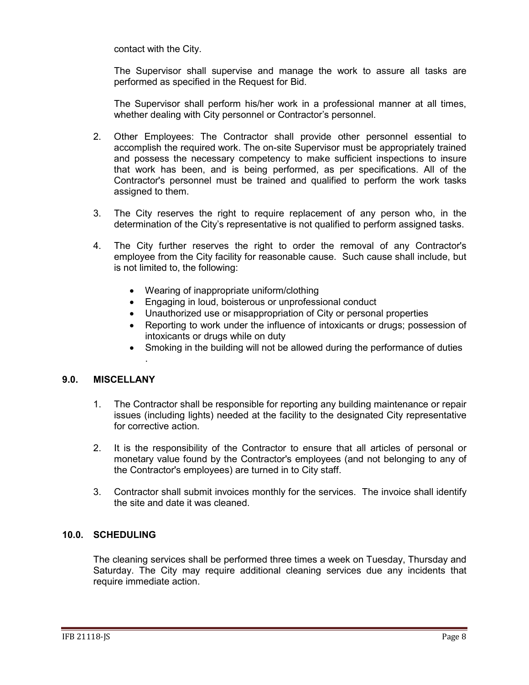contact with the City.

The Supervisor shall supervise and manage the work to assure all tasks are performed as specified in the Request for Bid.

The Supervisor shall perform his/her work in a professional manner at all times, whether dealing with City personnel or Contractor's personnel.

- 2. Other Employees: The Contractor shall provide other personnel essential to accomplish the required work. The on-site Supervisor must be appropriately trained and possess the necessary competency to make sufficient inspections to insure that work has been, and is being performed, as per specifications. All of the Contractor's personnel must be trained and qualified to perform the work tasks assigned to them.
- 3. The City reserves the right to require replacement of any person who, in the determination of the City's representative is not qualified to perform assigned tasks.
- 4. The City further reserves the right to order the removal of any Contractor's employee from the City facility for reasonable cause. Such cause shall include, but is not limited to, the following:
	- Wearing of inappropriate uniform/clothing
	- Engaging in loud, boisterous or unprofessional conduct
	- Unauthorized use or misappropriation of City or personal properties
	- Reporting to work under the influence of intoxicants or drugs; possession of intoxicants or drugs while on duty
	- Smoking in the building will not be allowed during the performance of duties

#### <span id="page-7-0"></span>**9.0. MISCELLANY**

.

- 1. The Contractor shall be responsible for reporting any building maintenance or repair issues (including lights) needed at the facility to the designated City representative for corrective action.
- 2. It is the responsibility of the Contractor to ensure that all articles of personal or monetary value found by the Contractor's employees (and not belonging to any of the Contractor's employees) are turned in to City staff.
- 3. Contractor shall submit invoices monthly for the services. The invoice shall identify the site and date it was cleaned.

## <span id="page-7-1"></span>**10.0. SCHEDULING**

The cleaning services shall be performed three times a week on Tuesday, Thursday and Saturday. The City may require additional cleaning services due any incidents that require immediate action.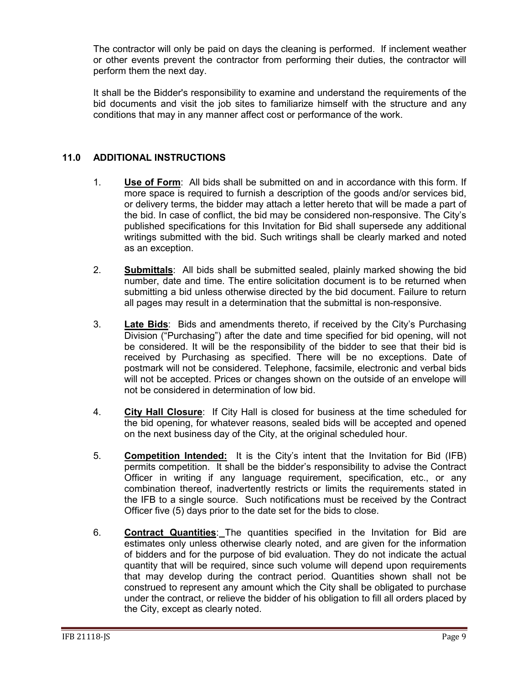The contractor will only be paid on days the cleaning is performed. If inclement weather or other events prevent the contractor from performing their duties, the contractor will perform them the next day.

It shall be the Bidder's responsibility to examine and understand the requirements of the bid documents and visit the job sites to familiarize himself with the structure and any conditions that may in any manner affect cost or performance of the work.

## <span id="page-8-0"></span>**11.0 ADDITIONAL INSTRUCTIONS**

- 1. **Use of Form**: All bids shall be submitted on and in accordance with this form. If more space is required to furnish a description of the goods and/or services bid, or delivery terms, the bidder may attach a letter hereto that will be made a part of the bid. In case of conflict, the bid may be considered non-responsive. The City's published specifications for this Invitation for Bid shall supersede any additional writings submitted with the bid. Such writings shall be clearly marked and noted as an exception.
- 2. **Submittals**: All bids shall be submitted sealed, plainly marked showing the bid number, date and time. The entire solicitation document is to be returned when submitting a bid unless otherwise directed by the bid document. Failure to return all pages may result in a determination that the submittal is non-responsive.
- 3. **Late Bids**: Bids and amendments thereto, if received by the City's Purchasing Division ("Purchasing") after the date and time specified for bid opening, will not be considered. It will be the responsibility of the bidder to see that their bid is received by Purchasing as specified. There will be no exceptions. Date of postmark will not be considered. Telephone, facsimile, electronic and verbal bids will not be accepted. Prices or changes shown on the outside of an envelope will not be considered in determination of low bid.
- 4. **City Hall Closure**: If City Hall is closed for business at the time scheduled for the bid opening, for whatever reasons, sealed bids will be accepted and opened on the next business day of the City, at the original scheduled hour.
- 5. **Competition Intended:** It is the City's intent that the Invitation for Bid (IFB) permits competition. It shall be the bidder's responsibility to advise the Contract Officer in writing if any language requirement, specification, etc., or any combination thereof, inadvertently restricts or limits the requirements stated in the IFB to a single source. Such notifications must be received by the Contract Officer five (5) days prior to the date set for the bids to close.
- 6. **Contract Quantities**: The quantities specified in the Invitation for Bid are estimates only unless otherwise clearly noted, and are given for the information of bidders and for the purpose of bid evaluation. They do not indicate the actual quantity that will be required, since such volume will depend upon requirements that may develop during the contract period. Quantities shown shall not be construed to represent any amount which the City shall be obligated to purchase under the contract, or relieve the bidder of his obligation to fill all orders placed by the City, except as clearly noted.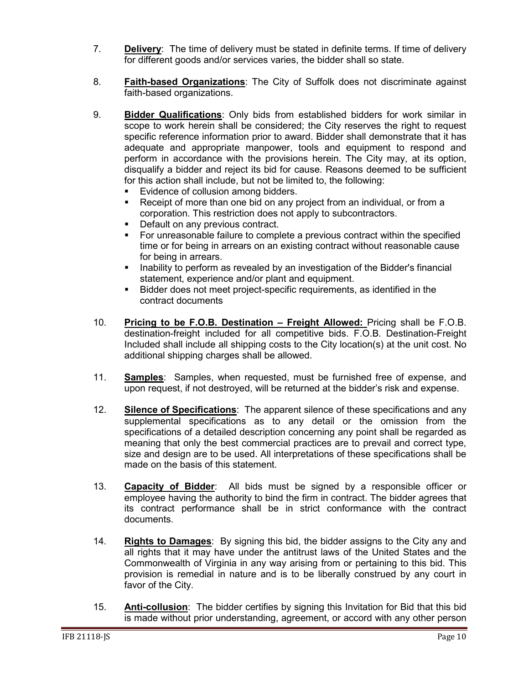- 7. **Delivery**: The time of delivery must be stated in definite terms. If time of delivery for different goods and/or services varies, the bidder shall so state.
- 8. **Faith-based Organizations**: The City of Suffolk does not discriminate against faith-based organizations.
- 9. **Bidder Qualifications**: Only bids from established bidders for work similar in scope to work herein shall be considered; the City reserves the right to request specific reference information prior to award. Bidder shall demonstrate that it has adequate and appropriate manpower, tools and equipment to respond and perform in accordance with the provisions herein. The City may, at its option, disqualify a bidder and reject its bid for cause. Reasons deemed to be sufficient for this action shall include, but not be limited to, the following:
	- Evidence of collusion among bidders.
	- Receipt of more than one bid on any project from an individual, or from a corporation. This restriction does not apply to subcontractors.
	- **Default on any previous contract.**
	- For unreasonable failure to complete a previous contract within the specified time or for being in arrears on an existing contract without reasonable cause for being in arrears.
	- **I.** Inability to perform as revealed by an investigation of the Bidder's financial statement, experience and/or plant and equipment.
	- Bidder does not meet project-specific requirements, as identified in the contract documents
- 10. **Pricing to be F.O.B. Destination – Freight Allowed:** Pricing shall be F.O.B. destination-freight included for all competitive bids. F.O.B. Destination-Freight Included shall include all shipping costs to the City location(s) at the unit cost. No additional shipping charges shall be allowed.
- 11. **Samples**: Samples, when requested, must be furnished free of expense, and upon request, if not destroyed, will be returned at the bidder's risk and expense.
- 12. **Silence of Specifications**: The apparent silence of these specifications and any supplemental specifications as to any detail or the omission from the specifications of a detailed description concerning any point shall be regarded as meaning that only the best commercial practices are to prevail and correct type, size and design are to be used. All interpretations of these specifications shall be made on the basis of this statement.
- 13. **Capacity of Bidder**: All bids must be signed by a responsible officer or employee having the authority to bind the firm in contract. The bidder agrees that its contract performance shall be in strict conformance with the contract documents.
- 14. **Rights to Damages**: By signing this bid, the bidder assigns to the City any and all rights that it may have under the antitrust laws of the United States and the Commonwealth of Virginia in any way arising from or pertaining to this bid. This provision is remedial in nature and is to be liberally construed by any court in favor of the City.
- 15. **Anti-collusion**: The bidder certifies by signing this Invitation for Bid that this bid is made without prior understanding, agreement, or accord with any other person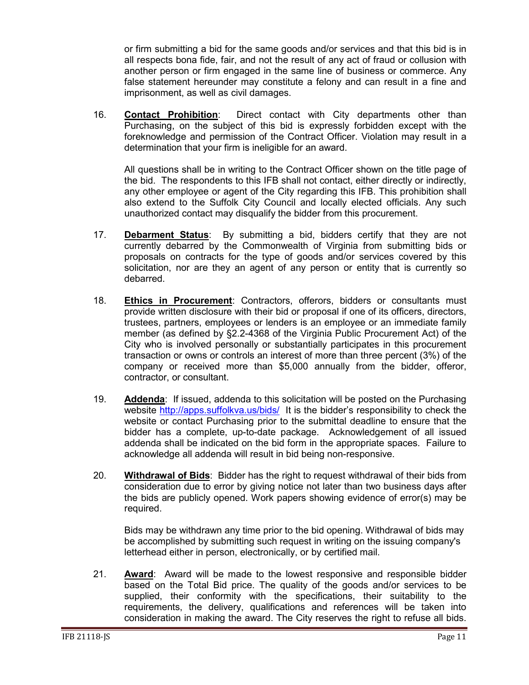or firm submitting a bid for the same goods and/or services and that this bid is in all respects bona fide, fair, and not the result of any act of fraud or collusion with another person or firm engaged in the same line of business or commerce. Any false statement hereunder may constitute a felony and can result in a fine and imprisonment, as well as civil damages.

16. **Contact Prohibition**: Direct contact with City departments other than Purchasing, on the subject of this bid is expressly forbidden except with the foreknowledge and permission of the Contract Officer. Violation may result in a determination that your firm is ineligible for an award.

All questions shall be in writing to the Contract Officer shown on the title page of the bid. The respondents to this IFB shall not contact, either directly or indirectly, any other employee or agent of the City regarding this IFB. This prohibition shall also extend to the Suffolk City Council and locally elected officials. Any such unauthorized contact may disqualify the bidder from this procurement.

- 17. **Debarment Status**: By submitting a bid, bidders certify that they are not currently debarred by the Commonwealth of Virginia from submitting bids or proposals on contracts for the type of goods and/or services covered by this solicitation, nor are they an agent of any person or entity that is currently so debarred.
- 18. **Ethics in Procurement**: Contractors, offerors, bidders or consultants must provide written disclosure with their bid or proposal if one of its officers, directors, trustees, partners, employees or lenders is an employee or an immediate family member (as defined by §2.2-4368 of the Virginia Public Procurement Act) of the City who is involved personally or substantially participates in this procurement transaction or owns or controls an interest of more than three percent (3%) of the company or received more than \$5,000 annually from the bidder, offeror, contractor, or consultant.
- 19. **Addenda**: If issued, addenda to this solicitation will be posted on the Purchasing website<http://apps.suffolkva.us/bids/>It is the bidder's responsibility to check the website or contact Purchasing prior to the submittal deadline to ensure that the bidder has a complete, up-to-date package. Acknowledgement of all issued addenda shall be indicated on the bid form in the appropriate spaces. Failure to acknowledge all addenda will result in bid being non-responsive.
- 20. **Withdrawal of Bids**: Bidder has the right to request withdrawal of their bids from consideration due to error by giving notice not later than two business days after the bids are publicly opened. Work papers showing evidence of error(s) may be required.

Bids may be withdrawn any time prior to the bid opening. Withdrawal of bids may be accomplished by submitting such request in writing on the issuing company's letterhead either in person, electronically, or by certified mail.

21. **Award**: Award will be made to the lowest responsive and responsible bidder based on the Total Bid price. The quality of the goods and/or services to be supplied, their conformity with the specifications, their suitability to the requirements, the delivery, qualifications and references will be taken into consideration in making the award. The City reserves the right to refuse all bids.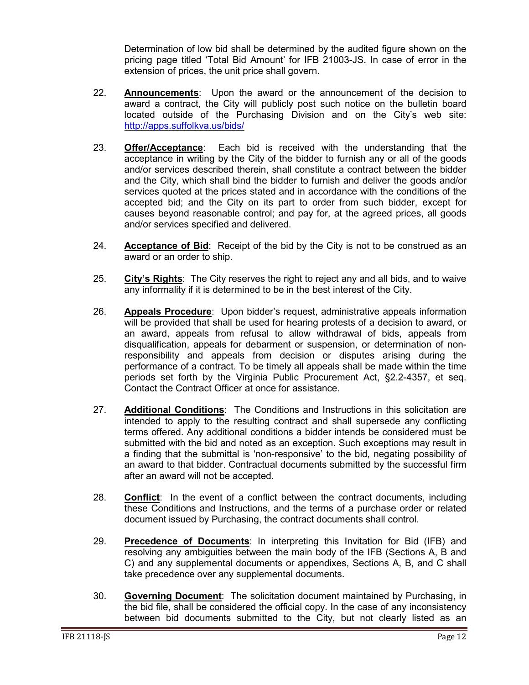Determination of low bid shall be determined by the audited figure shown on the pricing page titled 'Total Bid Amount' for IFB 21003-JS. In case of error in the extension of prices, the unit price shall govern.

- 22. **Announcements**: Upon the award or the announcement of the decision to award a contract, the City will publicly post such notice on the bulletin board located outside of the Purchasing Division and on the City's web site: <http://apps.suffolkva.us/bids/>
- 23. **Offer/Acceptance**: Each bid is received with the understanding that the acceptance in writing by the City of the bidder to furnish any or all of the goods and/or services described therein, shall constitute a contract between the bidder and the City, which shall bind the bidder to furnish and deliver the goods and/or services quoted at the prices stated and in accordance with the conditions of the accepted bid; and the City on its part to order from such bidder, except for causes beyond reasonable control; and pay for, at the agreed prices, all goods and/or services specified and delivered.
- 24. **Acceptance of Bid**: Receipt of the bid by the City is not to be construed as an award or an order to ship.
- 25. **City's Rights**: The City reserves the right to reject any and all bids, and to waive any informality if it is determined to be in the best interest of the City.
- 26. **Appeals Procedure**: Upon bidder's request, administrative appeals information will be provided that shall be used for hearing protests of a decision to award, or an award, appeals from refusal to allow withdrawal of bids, appeals from disqualification, appeals for debarment or suspension, or determination of nonresponsibility and appeals from decision or disputes arising during the performance of a contract. To be timely all appeals shall be made within the time periods set forth by the Virginia Public Procurement Act, §2.2-4357, et seq. Contact the Contract Officer at once for assistance.
- 27. **Additional Conditions**: The Conditions and Instructions in this solicitation are intended to apply to the resulting contract and shall supersede any conflicting terms offered. Any additional conditions a bidder intends be considered must be submitted with the bid and noted as an exception. Such exceptions may result in a finding that the submittal is 'non-responsive' to the bid, negating possibility of an award to that bidder. Contractual documents submitted by the successful firm after an award will not be accepted.
- 28. **Conflict**: In the event of a conflict between the contract documents, including these Conditions and Instructions, and the terms of a purchase order or related document issued by Purchasing, the contract documents shall control.
- 29. **Precedence of Documents**: In interpreting this Invitation for Bid (IFB) and resolving any ambiguities between the main body of the IFB (Sections A, B and C) and any supplemental documents or appendixes, Sections A, B, and C shall take precedence over any supplemental documents.
- 30. **Governing Document**: The solicitation document maintained by Purchasing, in the bid file, shall be considered the official copy. In the case of any inconsistency between bid documents submitted to the City, but not clearly listed as an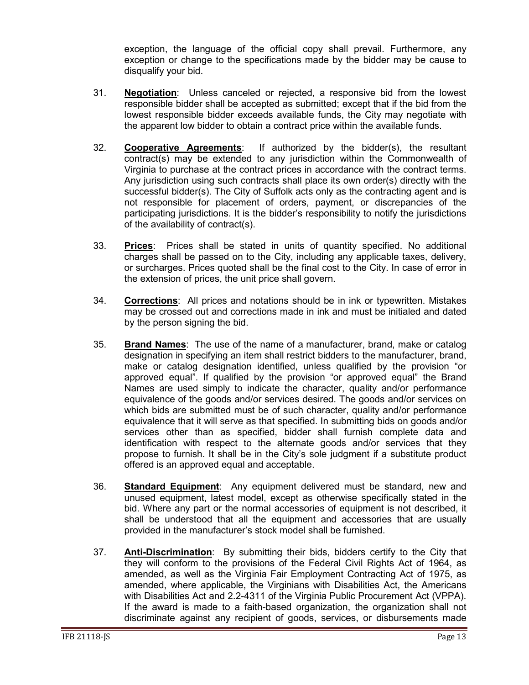exception, the language of the official copy shall prevail. Furthermore, any exception or change to the specifications made by the bidder may be cause to disqualify your bid.

- 31. **Negotiation**: Unless canceled or rejected, a responsive bid from the lowest responsible bidder shall be accepted as submitted; except that if the bid from the lowest responsible bidder exceeds available funds, the City may negotiate with the apparent low bidder to obtain a contract price within the available funds.
- 32. **Cooperative Agreements**: If authorized by the bidder(s), the resultant contract(s) may be extended to any jurisdiction within the Commonwealth of Virginia to purchase at the contract prices in accordance with the contract terms. Any jurisdiction using such contracts shall place its own order(s) directly with the successful bidder(s). The City of Suffolk acts only as the contracting agent and is not responsible for placement of orders, payment, or discrepancies of the participating jurisdictions. It is the bidder's responsibility to notify the jurisdictions of the availability of contract(s).
- 33. **Prices**: Prices shall be stated in units of quantity specified. No additional charges shall be passed on to the City, including any applicable taxes, delivery, or surcharges. Prices quoted shall be the final cost to the City. In case of error in the extension of prices, the unit price shall govern.
- 34. **Corrections**: All prices and notations should be in ink or typewritten. Mistakes may be crossed out and corrections made in ink and must be initialed and dated by the person signing the bid.
- 35. **Brand Names**: The use of the name of a manufacturer, brand, make or catalog designation in specifying an item shall restrict bidders to the manufacturer, brand, make or catalog designation identified, unless qualified by the provision "or approved equal". If qualified by the provision "or approved equal" the Brand Names are used simply to indicate the character, quality and/or performance equivalence of the goods and/or services desired. The goods and/or services on which bids are submitted must be of such character, quality and/or performance equivalence that it will serve as that specified. In submitting bids on goods and/or services other than as specified, bidder shall furnish complete data and identification with respect to the alternate goods and/or services that they propose to furnish. It shall be in the City's sole judgment if a substitute product offered is an approved equal and acceptable.
- 36. **Standard Equipment**: Any equipment delivered must be standard, new and unused equipment, latest model, except as otherwise specifically stated in the bid. Where any part or the normal accessories of equipment is not described, it shall be understood that all the equipment and accessories that are usually provided in the manufacturer's stock model shall be furnished.
- 37. **Anti-Discrimination**: By submitting their bids, bidders certify to the City that they will conform to the provisions of the Federal Civil Rights Act of 1964, as amended, as well as the Virginia Fair Employment Contracting Act of 1975, as amended, where applicable, the Virginians with Disabilities Act, the Americans with Disabilities Act and 2.2-4311 of the Virginia Public Procurement Act (VPPA). If the award is made to a faith-based organization, the organization shall not discriminate against any recipient of goods, services, or disbursements made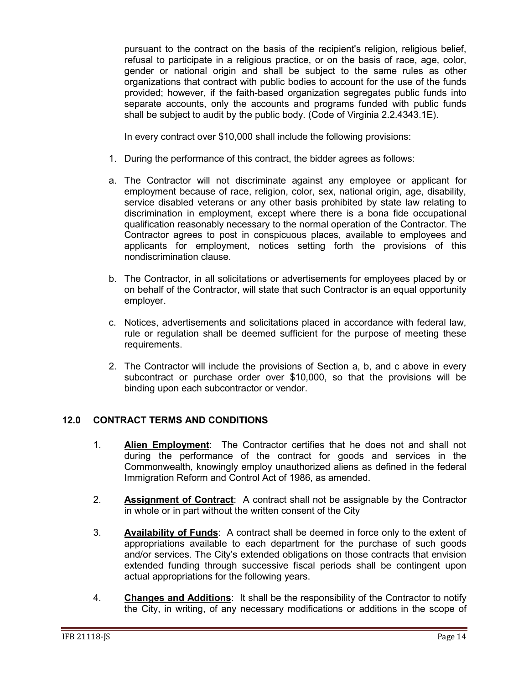pursuant to the contract on the basis of the recipient's religion, religious belief, refusal to participate in a religious practice, or on the basis of race, age, color, gender or national origin and shall be subject to the same rules as other organizations that contract with public bodies to account for the use of the funds provided; however, if the faith-based organization segregates public funds into separate accounts, only the accounts and programs funded with public funds shall be subject to audit by the public body. (Code of Virginia 2.2.4343.1E).

In every contract over \$10,000 shall include the following provisions:

- 1. During the performance of this contract, the bidder agrees as follows:
- a. The Contractor will not discriminate against any employee or applicant for employment because of race, religion, color, sex, national origin, age, disability, service disabled veterans or any other basis prohibited by state law relating to discrimination in employment, except where there is a bona fide occupational qualification reasonably necessary to the normal operation of the Contractor. The Contractor agrees to post in conspicuous places, available to employees and applicants for employment, notices setting forth the provisions of this nondiscrimination clause.
- b. The Contractor, in all solicitations or advertisements for employees placed by or on behalf of the Contractor, will state that such Contractor is an equal opportunity employer.
- c. Notices, advertisements and solicitations placed in accordance with federal law, rule or regulation shall be deemed sufficient for the purpose of meeting these requirements.
- 2. The Contractor will include the provisions of Section a, b, and c above in every subcontract or purchase order over \$10,000, so that the provisions will be binding upon each subcontractor or vendor.

## <span id="page-13-0"></span>**12.0 CONTRACT TERMS AND CONDITIONS**

- 1. **Alien Employment**: The Contractor certifies that he does not and shall not during the performance of the contract for goods and services in the Commonwealth, knowingly employ unauthorized aliens as defined in the federal Immigration Reform and Control Act of 1986, as amended.
- 2. **Assignment of Contract**: A contract shall not be assignable by the Contractor in whole or in part without the written consent of the City
- 3. **Availability of Funds**: A contract shall be deemed in force only to the extent of appropriations available to each department for the purchase of such goods and/or services. The City's extended obligations on those contracts that envision extended funding through successive fiscal periods shall be contingent upon actual appropriations for the following years.
- 4. **Changes and Additions**: It shall be the responsibility of the Contractor to notify the City, in writing, of any necessary modifications or additions in the scope of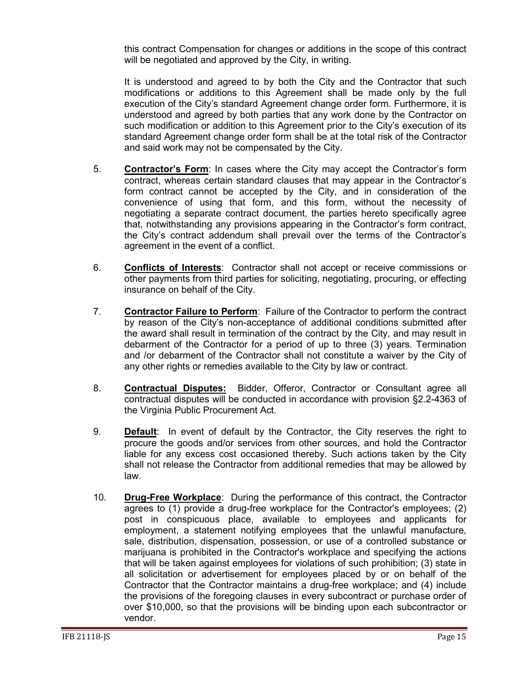this contract Compensation for changes or additions in the scope of this contract will be negotiated and approved by the City, in writing.

It is understood and agreed to by both the City and the Contractor that such modifications or additions to this Agreement shall be made only by the full execution of the City's standard Agreement change order form. Furthermore, it is understood and agreed by both parties that any work done by the Contractor on such modification or addition to this Agreement prior to the City's execution of its standard Agreement change order form shall be at the total risk of the Contractor and said work may not be compensated by the City.

- 5. **Contractor's Form**: In cases where the City may accept the Contractor's form contract, whereas certain standard clauses that may appear in the Contractor's form contract cannot be accepted by the City, and in consideration of the convenience of using that form, and this form, without the necessity of negotiating a separate contract document, the parties hereto specifically agree that, notwithstanding any provisions appearing in the Contractor's form contract, the City's contract addendum shall prevail over the terms of the Contractor's agreement in the event of a conflict.
- 6. **Conflicts of Interests**: Contractor shall not accept or receive commissions or other payments from third parties for soliciting, negotiating, procuring, or effecting insurance on behalf of the City.
- 7. **Contractor Failure to Perform**: Failure of the Contractor to perform the contract by reason of the City's non-acceptance of additional conditions submitted after the award shall result in termination of the contract by the City, and may result in debarment of the Contractor for a period of up to three (3) years. Termination and /or debarment of the Contractor shall not constitute a waiver by the City of any other rights or remedies available to the City by law or contract.
- 8. **Contractual Disputes:** Bidder, Offeror, Contractor or Consultant agree all contractual disputes will be conducted in accordance with provision §2.2-4363 of the Virginia Public Procurement Act.
- 9. **Default**: In event of default by the Contractor, the City reserves the right to procure the goods and/or services from other sources, and hold the Contractor liable for any excess cost occasioned thereby. Such actions taken by the City shall not release the Contractor from additional remedies that may be allowed by law.
- 10. **Drug-Free Workplace**: During the performance of this contract, the Contractor agrees to (1) provide a drug-free workplace for the Contractor's employees; (2) post in conspicuous place, available to employees and applicants for employment, a statement notifying employees that the unlawful manufacture, sale, distribution, dispensation, possession, or use of a controlled substance or marijuana is prohibited in the Contractor's workplace and specifying the actions that will be taken against employees for violations of such prohibition; (3) state in all solicitation or advertisement for employees placed by or on behalf of the Contractor that the Contractor maintains a drug-free workplace; and (4) include the provisions of the foregoing clauses in every subcontract or purchase order of over \$10,000, so that the provisions will be binding upon each subcontractor or vendor.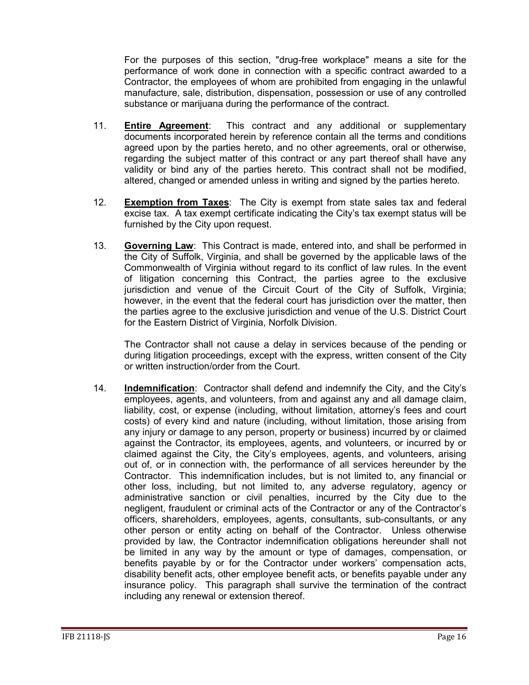For the purposes of this section, "drug-free workplace" means a site for the performance of work done in connection with a specific contract awarded to a Contractor, the employees of whom are prohibited from engaging in the unlawful manufacture, sale, distribution, dispensation, possession or use of any controlled substance or marijuana during the performance of the contract.

- 11. **Entire Agreement**: This contract and any additional or supplementary documents incorporated herein by reference contain all the terms and conditions agreed upon by the parties hereto, and no other agreements, oral or otherwise, regarding the subject matter of this contract or any part thereof shall have any validity or bind any of the parties hereto. This contract shall not be modified, altered, changed or amended unless in writing and signed by the parties hereto.
- 12. **Exemption from Taxes**: The City is exempt from state sales tax and federal excise tax. A tax exempt certificate indicating the City's tax exempt status will be furnished by the City upon request.
- 13. **Governing Law**: This Contract is made, entered into, and shall be performed in the City of Suffolk, Virginia, and shall be governed by the applicable laws of the Commonwealth of Virginia without regard to its conflict of law rules. In the event of litigation concerning this Contract, the parties agree to the exclusive jurisdiction and venue of the Circuit Court of the City of Suffolk, Virginia; however, in the event that the federal court has jurisdiction over the matter, then the parties agree to the exclusive jurisdiction and venue of the U.S. District Court for the Eastern District of Virginia, Norfolk Division.

The Contractor shall not cause a delay in services because of the pending or during litigation proceedings, except with the express, written consent of the City or written instruction/order from the Court.

14. **Indemnification**: Contractor shall defend and indemnify the City, and the City's employees, agents, and volunteers, from and against any and all damage claim, liability, cost, or expense (including, without limitation, attorney's fees and court costs) of every kind and nature (including, without limitation, those arising from any injury or damage to any person, property or business) incurred by or claimed against the Contractor, its employees, agents, and volunteers, or incurred by or claimed against the City, the City's employees, agents, and volunteers, arising out of, or in connection with, the performance of all services hereunder by the Contractor. This indemnification includes, but is not limited to, any financial or other loss, including, but not limited to, any adverse regulatory, agency or administrative sanction or civil penalties, incurred by the City due to the negligent, fraudulent or criminal acts of the Contractor or any of the Contractor's officers, shareholders, employees, agents, consultants, sub-consultants, or any other person or entity acting on behalf of the Contractor. Unless otherwise provided by law, the Contractor indemnification obligations hereunder shall not be limited in any way by the amount or type of damages, compensation, or benefits payable by or for the Contractor under workers' compensation acts, disability benefit acts, other employee benefit acts, or benefits payable under any insurance policy. This paragraph shall survive the termination of the contract including any renewal or extension thereof.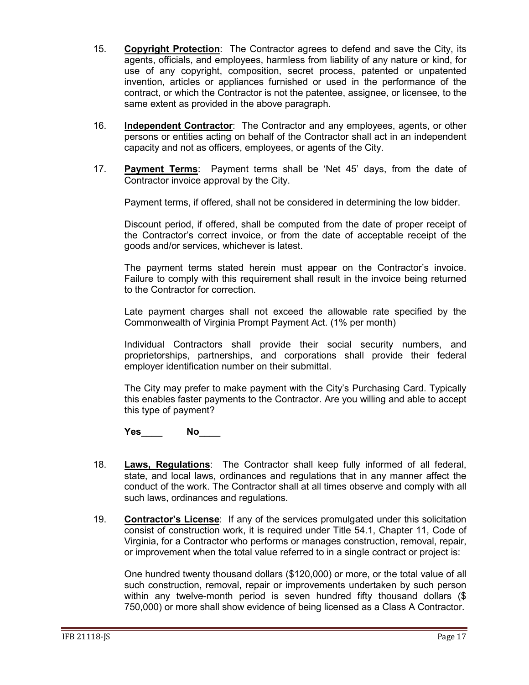- 15. **Copyright Protection**: The Contractor agrees to defend and save the City, its agents, officials, and employees, harmless from liability of any nature or kind, for use of any copyright, composition, secret process, patented or unpatented invention, articles or appliances furnished or used in the performance of the contract, or which the Contractor is not the patentee, assignee, or licensee, to the same extent as provided in the above paragraph.
- 16. **Independent Contractor**: The Contractor and any employees, agents, or other persons or entities acting on behalf of the Contractor shall act in an independent capacity and not as officers, employees, or agents of the City.
- 17. **Payment Terms**: Payment terms shall be 'Net 45' days, from the date of Contractor invoice approval by the City.

Payment terms, if offered, shall not be considered in determining the low bidder.

Discount period, if offered, shall be computed from the date of proper receipt of the Contractor's correct invoice, or from the date of acceptable receipt of the goods and/or services, whichever is latest.

The payment terms stated herein must appear on the Contractor's invoice. Failure to comply with this requirement shall result in the invoice being returned to the Contractor for correction.

Late payment charges shall not exceed the allowable rate specified by the Commonwealth of Virginia Prompt Payment Act. (1% per month)

Individual Contractors shall provide their social security numbers, and proprietorships, partnerships, and corporations shall provide their federal employer identification number on their submittal.

The City may prefer to make payment with the City's Purchasing Card. Typically this enables faster payments to the Contractor. Are you willing and able to accept this type of payment?

**Yes**\_\_\_\_ **No**\_\_\_\_

- 18. **Laws, Regulations**: The Contractor shall keep fully informed of all federal, state, and local laws, ordinances and regulations that in any manner affect the conduct of the work. The Contractor shall at all times observe and comply with all such laws, ordinances and regulations.
- 19. **Contractor's License**: If any of the services promulgated under this solicitation consist of construction work, it is required under Title 54.1, Chapter 11, Code of Virginia, for a Contractor who performs or manages construction, removal, repair, or improvement when the total value referred to in a single contract or project is:

One hundred twenty thousand dollars (\$120,000) or more, or the total value of all such construction, removal, repair or improvements undertaken by such person within any twelve-month period is seven hundred fifty thousand dollars (\$ 750,000) or more shall show evidence of being licensed as a Class A Contractor.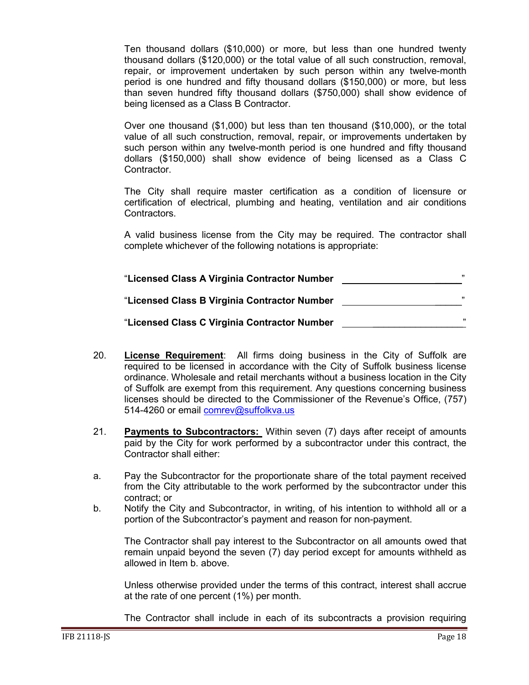Ten thousand dollars (\$10,000) or more, but less than one hundred twenty thousand dollars (\$120,000) or the total value of all such construction, removal, repair, or improvement undertaken by such person within any twelve-month period is one hundred and fifty thousand dollars (\$150,000) or more, but less than seven hundred fifty thousand dollars (\$750,000) shall show evidence of being licensed as a Class B Contractor.

Over one thousand (\$1,000) but less than ten thousand (\$10,000), or the total value of all such construction, removal, repair, or improvements undertaken by such person within any twelve-month period is one hundred and fifty thousand dollars (\$150,000) shall show evidence of being licensed as a Class C Contractor.

The City shall require master certification as a condition of licensure or certification of electrical, plumbing and heating, ventilation and air conditions Contractors.

A valid business license from the City may be required. The contractor shall complete whichever of the following notations is appropriate:

| "Licensed Class A Virginia Contractor Number | ,,    |
|----------------------------------------------|-------|
| "Licensed Class B Virginia Contractor Number | ,,    |
| "Licensed Class C Virginia Contractor Number | , 1.7 |

- 20. **License Requirement**: All firms doing business in the City of Suffolk are required to be licensed in accordance with the City of Suffolk business license ordinance. Wholesale and retail merchants without a business location in the City of Suffolk are exempt from this requirement. Any questions concerning business licenses should be directed to the Commissioner of the Revenue's Office, (757) 514-4260 or email [comrev@suffolkva.us](mailto:comrev@suffolkva.us)
- 21. **Payments to Subcontractors:** Within seven (7) days after receipt of amounts paid by the City for work performed by a subcontractor under this contract, the Contractor shall either:
- a. Pay the Subcontractor for the proportionate share of the total payment received from the City attributable to the work performed by the subcontractor under this contract; or
- b. Notify the City and Subcontractor, in writing, of his intention to withhold all or a portion of the Subcontractor's payment and reason for non-payment.

The Contractor shall pay interest to the Subcontractor on all amounts owed that remain unpaid beyond the seven (7) day period except for amounts withheld as allowed in Item b. above.

Unless otherwise provided under the terms of this contract, interest shall accrue at the rate of one percent (1%) per month.

The Contractor shall include in each of its subcontracts a provision requiring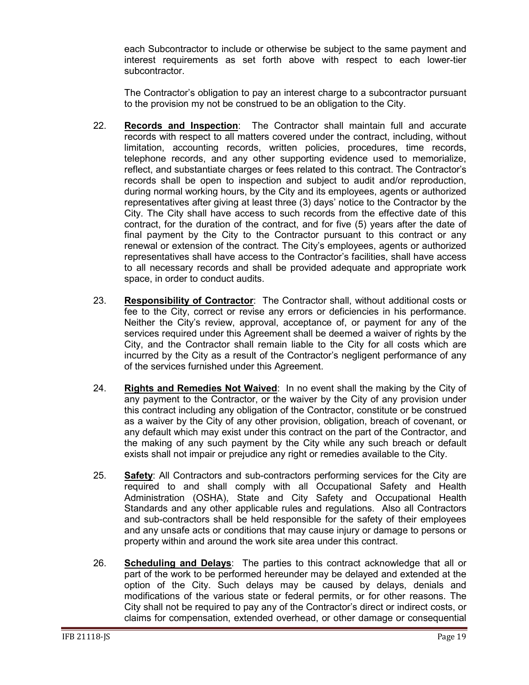each Subcontractor to include or otherwise be subject to the same payment and interest requirements as set forth above with respect to each lower-tier subcontractor.

The Contractor's obligation to pay an interest charge to a subcontractor pursuant to the provision my not be construed to be an obligation to the City.

- 22. **Records and Inspection**: The Contractor shall maintain full and accurate records with respect to all matters covered under the contract, including, without limitation, accounting records, written policies, procedures, time records, telephone records, and any other supporting evidence used to memorialize, reflect, and substantiate charges or fees related to this contract. The Contractor's records shall be open to inspection and subject to audit and/or reproduction, during normal working hours, by the City and its employees, agents or authorized representatives after giving at least three (3) days' notice to the Contractor by the City. The City shall have access to such records from the effective date of this contract, for the duration of the contract, and for five (5) years after the date of final payment by the City to the Contractor pursuant to this contract or any renewal or extension of the contract. The City's employees, agents or authorized representatives shall have access to the Contractor's facilities, shall have access to all necessary records and shall be provided adequate and appropriate work space, in order to conduct audits.
- 23. **Responsibility of Contractor**: The Contractor shall, without additional costs or fee to the City, correct or revise any errors or deficiencies in his performance. Neither the City's review, approval, acceptance of, or payment for any of the services required under this Agreement shall be deemed a waiver of rights by the City, and the Contractor shall remain liable to the City for all costs which are incurred by the City as a result of the Contractor's negligent performance of any of the services furnished under this Agreement.
- 24. **Rights and Remedies Not Waived**: In no event shall the making by the City of any payment to the Contractor, or the waiver by the City of any provision under this contract including any obligation of the Contractor, constitute or be construed as a waiver by the City of any other provision, obligation, breach of covenant, or any default which may exist under this contract on the part of the Contractor, and the making of any such payment by the City while any such breach or default exists shall not impair or prejudice any right or remedies available to the City.
- 25. **Safety**: All Contractors and sub-contractors performing services for the City are required to and shall comply with all Occupational Safety and Health Administration (OSHA), State and City Safety and Occupational Health Standards and any other applicable rules and regulations. Also all Contractors and sub-contractors shall be held responsible for the safety of their employees and any unsafe acts or conditions that may cause injury or damage to persons or property within and around the work site area under this contract.
- 26. **Scheduling and Delays**: The parties to this contract acknowledge that all or part of the work to be performed hereunder may be delayed and extended at the option of the City. Such delays may be caused by delays, denials and modifications of the various state or federal permits, or for other reasons. The City shall not be required to pay any of the Contractor's direct or indirect costs, or claims for compensation, extended overhead, or other damage or consequential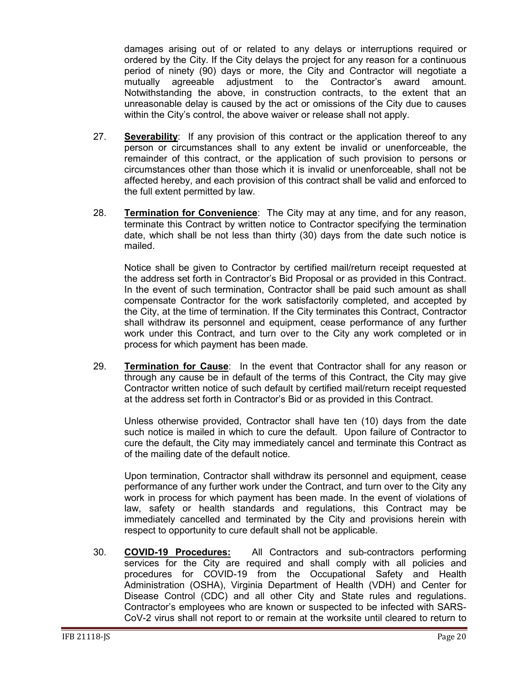damages arising out of or related to any delays or interruptions required or ordered by the City. If the City delays the project for any reason for a continuous period of ninety (90) days or more, the City and Contractor will negotiate a mutually agreeable adjustment to the Contractor's award amount. Notwithstanding the above, in construction contracts, to the extent that an unreasonable delay is caused by the act or omissions of the City due to causes within the City's control, the above waiver or release shall not apply.

- 27. **Severability**: If any provision of this contract or the application thereof to any person or circumstances shall to any extent be invalid or unenforceable, the remainder of this contract, or the application of such provision to persons or circumstances other than those which it is invalid or unenforceable, shall not be affected hereby, and each provision of this contract shall be valid and enforced to the full extent permitted by law.
- 28. **Termination for Convenience**: The City may at any time, and for any reason, terminate this Contract by written notice to Contractor specifying the termination date, which shall be not less than thirty (30) days from the date such notice is mailed.

Notice shall be given to Contractor by certified mail/return receipt requested at the address set forth in Contractor's Bid Proposal or as provided in this Contract. In the event of such termination, Contractor shall be paid such amount as shall compensate Contractor for the work satisfactorily completed, and accepted by the City, at the time of termination. If the City terminates this Contract, Contractor shall withdraw its personnel and equipment, cease performance of any further work under this Contract, and turn over to the City any work completed or in process for which payment has been made.

29. **Termination for Cause**: In the event that Contractor shall for any reason or through any cause be in default of the terms of this Contract, the City may give Contractor written notice of such default by certified mail/return receipt requested at the address set forth in Contractor's Bid or as provided in this Contract.

Unless otherwise provided, Contractor shall have ten (10) days from the date such notice is mailed in which to cure the default. Upon failure of Contractor to cure the default, the City may immediately cancel and terminate this Contract as of the mailing date of the default notice.

Upon termination, Contractor shall withdraw its personnel and equipment, cease performance of any further work under the Contract, and turn over to the City any work in process for which payment has been made. In the event of violations of law, safety or health standards and regulations, this Contract may be immediately cancelled and terminated by the City and provisions herein with respect to opportunity to cure default shall not be applicable.

30. **COVID-19 Procedures:** All Contractors and sub-contractors performing services for the City are required and shall comply with all policies and procedures for COVID-19 from the Occupational Safety and Health Administration (OSHA), Virginia Department of Health (VDH) and Center for Disease Control (CDC) and all other City and State rules and regulations. Contractor's employees who are known or suspected to be infected with SARS-CoV-2 virus shall not report to or remain at the worksite until cleared to return to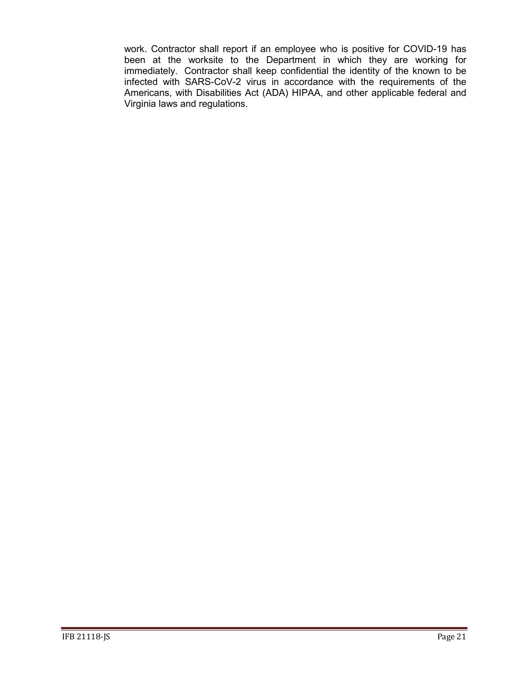work. Contractor shall report if an employee who is positive for COVID-19 has been at the worksite to the Department in which they are working for immediately. Contractor shall keep confidential the identity of the known to be infected with SARS-CoV-2 virus in accordance with the requirements of the Americans, with Disabilities Act (ADA) HIPAA, and other applicable federal and Virginia laws and regulations.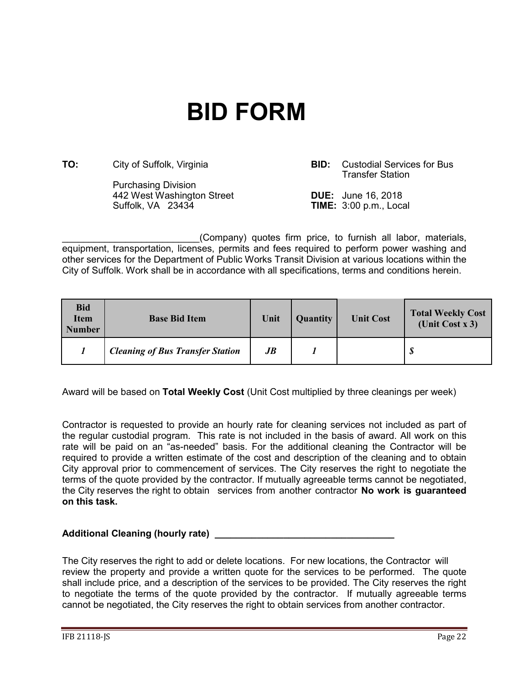## <span id="page-21-0"></span>**BID FORM**

**TO:** City of Suffolk, Virginia **BID:** Custodial Services for Bus

Purchasing Division 442 West Washington Street **DUE:** June 16, 2018

Transfer Station

**TIME:** 3:00 p.m., Local

(Company) quotes firm price, to furnish all labor, materials, equipment, transportation, licenses, permits and fees required to perform power washing and other services for the Department of Public Works Transit Division at various locations within the City of Suffolk. Work shall be in accordance with all specifications, terms and conditions herein.

| <b>Bid</b><br><b>Item</b><br><b>Number</b> | <b>Base Bid Item</b>                    | Unit | <b>Quantity</b> | <b>Unit Cost</b> | <b>Total Weekly Cost</b><br>(Unit Cost $x$ 3) |
|--------------------------------------------|-----------------------------------------|------|-----------------|------------------|-----------------------------------------------|
|                                            | <b>Cleaning of Bus Transfer Station</b> | JB   |                 |                  | - \$                                          |

Award will be based on **Total Weekly Cost** (Unit Cost multiplied by three cleanings per week)

Contractor is requested to provide an hourly rate for cleaning services not included as part of the regular custodial program. This rate is not included in the basis of award. All work on this rate will be paid on an "as-needed" basis. For the additional cleaning the Contractor will be required to provide a written estimate of the cost and description of the cleaning and to obtain City approval prior to commencement of services. The City reserves the right to negotiate the terms of the quote provided by the contractor. If mutually agreeable terms cannot be negotiated, the City reserves the right to obtain services from another contractor **No work is guaranteed on this task.**

## Additional Cleaning (hourly rate) **Additional** Cleaning of  $\alpha$

The City reserves the right to add or delete locations. For new locations, the Contractor will review the property and provide a written quote for the services to be performed. The quote shall include price, and a description of the services to be provided. The City reserves the right to negotiate the terms of the quote provided by the contractor. If mutually agreeable terms cannot be negotiated, the City reserves the right to obtain services from another contractor.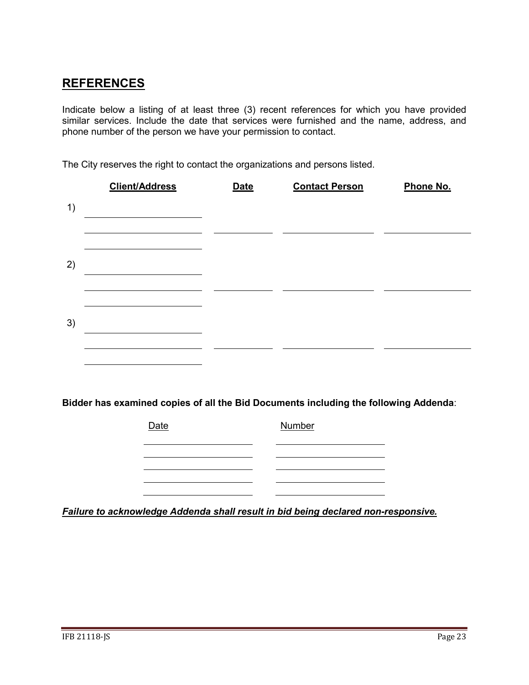## **REFERENCES**

Indicate below a listing of at least three (3) recent references for which you have provided similar services. Include the date that services were furnished and the name, address, and phone number of the person we have your permission to contact.

The City reserves the right to contact the organizations and persons listed.

|    | <b>Client/Address</b>                                                                | <b>Date</b> | <b>Contact Person</b> | Phone No. |
|----|--------------------------------------------------------------------------------------|-------------|-----------------------|-----------|
| 1) |                                                                                      |             |                       |           |
|    |                                                                                      |             |                       |           |
| 2) |                                                                                      |             |                       |           |
|    |                                                                                      |             |                       |           |
| 3) |                                                                                      |             |                       |           |
|    |                                                                                      |             |                       |           |
|    |                                                                                      |             |                       |           |
|    | Bidder has examined copies of all the Bid Documents including the following Addenda: |             |                       |           |
|    | Date                                                                                 |             | Number                |           |

*Failure to acknowledge Addenda shall result in bid being declared non-responsive.*

<u> 1980 - Johann Barnett, fransk politik (</u>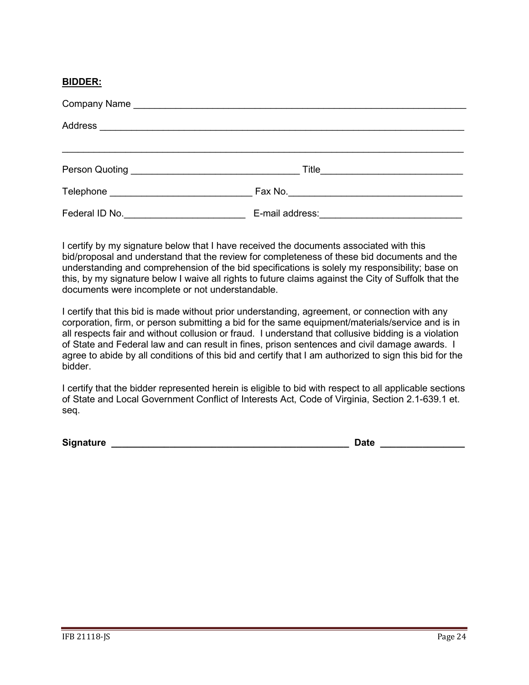## **BIDDER:**

| Person Quoting <u>experience and the property of the set of the set of the set of the set of the set of the set of the set of the set of the set of the set of the set of the set of the set of the set of the set of the set of</u> | Title           |  |
|--------------------------------------------------------------------------------------------------------------------------------------------------------------------------------------------------------------------------------------|-----------------|--|
| Telephone and the contract of the contract of the contract of the contract of the contract of the contract of the contract of the contract of the contract of the contract of the contract of the contract of the contract of        |                 |  |
| Federal ID No. <b>Example 20</b> Federal ID No.                                                                                                                                                                                      | E-mail address: |  |

I certify by my signature below that I have received the documents associated with this bid/proposal and understand that the review for completeness of these bid documents and the understanding and comprehension of the bid specifications is solely my responsibility; base on this, by my signature below I waive all rights to future claims against the City of Suffolk that the documents were incomplete or not understandable.

I certify that this bid is made without prior understanding, agreement, or connection with any corporation, firm, or person submitting a bid for the same equipment/materials/service and is in all respects fair and without collusion or fraud. I understand that collusive bidding is a violation of State and Federal law and can result in fines, prison sentences and civil damage awards. I agree to abide by all conditions of this bid and certify that I am authorized to sign this bid for the bidder.

I certify that the bidder represented herein is eligible to bid with respect to all applicable sections of State and Local Government Conflict of Interests Act, Code of Virginia, Section 2.1-639.1 et. seq.

**Signature \_\_\_\_\_\_\_\_\_\_\_\_\_\_\_\_\_\_\_\_\_\_\_\_\_\_\_\_\_\_\_\_\_\_\_\_\_\_\_\_\_\_\_\_\_ Date \_\_\_\_\_\_\_\_\_\_\_\_\_\_\_\_**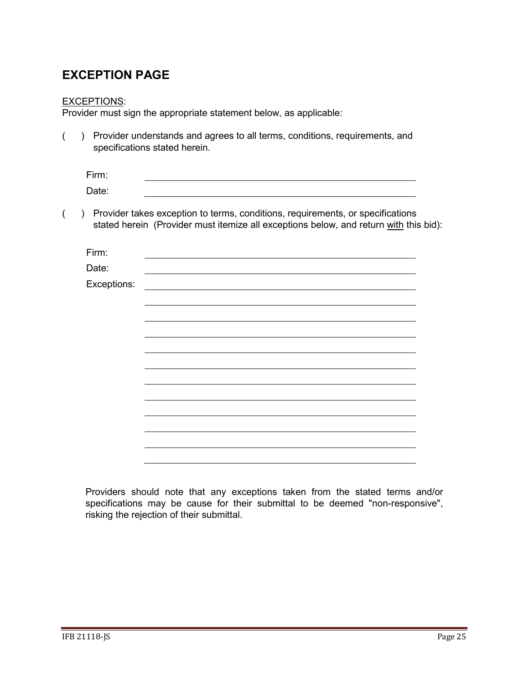## <span id="page-24-0"></span>**EXCEPTION PAGE**

## EXCEPTIONS:

Provider must sign the appropriate statement below, as applicable:

( ) Provider understands and agrees to all terms, conditions, requirements, and specifications stated herein.

| Firm: |  |  |
|-------|--|--|
| Date: |  |  |

( ) Provider takes exception to terms, conditions, requirements, or specifications stated herein (Provider must itemize all exceptions below, and return with this bid):

| Firm:       |  |
|-------------|--|
| Date:       |  |
| Exceptions: |  |
|             |  |
|             |  |
|             |  |
|             |  |
|             |  |
|             |  |
|             |  |
|             |  |
|             |  |
|             |  |
|             |  |
|             |  |

Providers should note that any exceptions taken from the stated terms and/or specifications may be cause for their submittal to be deemed "non-responsive", risking the rejection of their submittal.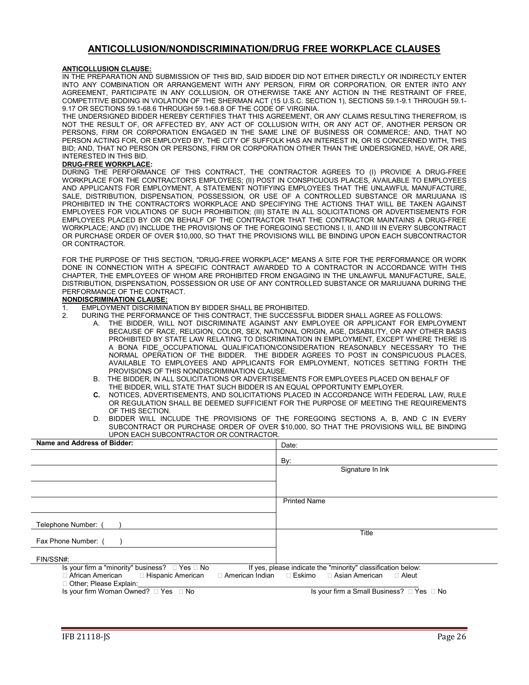#### **ANTICOLLUSION/NONDISCRIMINATION/DRUG FREE WORKPLACE CLAUSES**

#### <span id="page-25-0"></span>**ANTICOLLUSION CLAUSE:**

IN THE PREPARATION AND SUBMISSION OF THIS BID, SAID BIDDER DID NOT EITHER DIRECTLY OR INDIRECTLY ENTER INTO ANY COMBINATION OR ARRANGEMENT WITH ANY PERSON, FIRM OR CORPORATION, OR ENTER INTO ANY AGREEMENT, PARTICIPATE IN ANY COLLUSION, OR OTHERWISE TAKE ANY ACTION IN THE RESTRAINT OF FREE, COMPETITIVE BIDDING IN VIOLATION OF THE SHERMAN ACT (15 U.S.C. SECTION 1), SECTIONS 59.1-9.1 THROUGH 59.1- 9.17 OR SECTIONS 59.1-68.6 THROUGH 59.1-68.8 OF THE CODE OF VIRGINIA.

THE UNDERSIGNED BIDDER HEREBY CERTIFIES THAT THIS AGREEMENT, OR ANY CLAIMS RESULTING THEREFROM, IS NOT THE RESULT OF, OR AFFECTED BY, ANY ACT OF COLLUSION WITH, OR ANY ACT OF, ANOTHER PERSON OR PERSONS, FIRM OR CORPORATION ENGAGED IN THE SAME LINE OF BUSINESS OR COMMERCE; AND, THAT NO PERSON ACTING FOR, OR EMPLOYED BY, THE CITY OF SUFFOLK HAS AN INTEREST IN, OR IS CONCERNED WITH, THIS BID; AND, THAT NO PERSON OR PERSONS, FIRM OR CORPORATION OTHER THAN THE UNDERSIGNED, HAVE, OR ARE, INTERESTED IN THIS BID.

#### **DRUG-FREE WORKPLACE:**

DURING THE PERFORMANCE OF THIS CONTRACT, THE CONTRACTOR AGREES TO (I) PROVIDE A DRUG-FREE WORKPLACE FOR THE CONTRACTOR'S EMPLOYEES; (II) POST IN CONSPICUOUS PLACES, AVAILABLE TO EMPLOYEES AND APPLICANTS FOR EMPLOYMENT, A STATEMENT NOTIFYING EMPLOYEES THAT THE UNLAWFUL MANUFACTURE, SALE, DISTRIBUTION, DISPENSATION, POSSESSION, OR USE OF A CONTROLLED SUBSTANCE OR MARIJUANA IS PROHIBITED IN THE CONTRACTOR'S WORKPLACE AND SPECIFYING THE ACTIONS THAT WILL BE TAKEN AGAINST EMPLOYEES FOR VIOLATIONS OF SUCH PROHIBITION; (III) STATE IN ALL SOLICITATIONS OR ADVERTISEMENTS FOR EMPLOYEES PLACED BY OR ON BEHALF OF THE CONTRACTOR THAT THE CONTRACTOR MAINTAINS A DRUG-FREE WORKPLACE; AND (IV) INCLUDE THE PROVISIONS OF THE FOREGOING SECTIONS I, II, AND III IN EVERY SUBCONTRACT OR PURCHASE ORDER OF OVER \$10,000, SO THAT THE PROVISIONS WILL BE BINDING UPON EACH SUBCONTRACTOR OR CONTRACTOR.

FOR THE PURPOSE OF THIS SECTION, "DRUG-FREE WORKPLACE" MEANS A SITE FOR THE PERFORMANCE OR WORK DONE IN CONNECTION WITH A SPECIFIC CONTRACT AWARDED TO A CONTRACTOR IN ACCORDANCE WITH THIS CHAPTER, THE EMPLOYEES OF WHOM ARE PROHIBITED FROM ENGAGING IN THE UNLAWFUL MANUFACTURE, SALE, DISTRIBUTION, DISPENSATION, POSSESSION OR USE OF ANY CONTROLLED SUBSTANCE OR MARIJUANA DURING THE PERFORMANCE OF THE CONTRACT.

#### **NONDISCRIMINATION CLAUSE:**

- 1. EMPLOYMENT DISCRIMINATION BY BIDDER SHALL BE PROHIBITED.<br>2. DURING THE PERFORMANCE OF THIS CONTRACT. THE SUCCESSEL
	- 2. DURING THE PERFORMANCE OF THIS CONTRACT, THE SUCCESSFUL BIDDER SHALL AGREE AS FOLLOWS:
		- THE BIDDER, WILL NOT DISCRIMINATE AGAINST ANY EMPLOYEE OR APPLICANT FOR EMPLOYMENT BECAUSE OF RACE, RELIGION, COLOR, SEX, NATIONAL ORIGIN, AGE, DISABILITY, OR ANY OTHER BASIS PROHIBITED BY STATE LAW RELATING TO DISCRIMINATION IN EMPLOYMENT, EXCEPT WHERE THERE IS A BONA FIDE OCCUPATIONAL QUALIFICATION/CONSIDERATION REASONABLY NECESSARY TO THE NORMAL OPERATION OF THE BIDDER. THE BIDDER AGREES TO POST IN CONSPICUOUS PLACES, AVAILABLE TO EMPLOYEES AND APPLICANTS FOR EMPLOYMENT, NOTICES SETTING FORTH THE PROVISIONS OF THIS NONDISCRIMINATION CLAUSE.
		- B. THE BIDDER, IN ALL SOLICITATIONS OR ADVERTISEMENTS FOR EMPLOYEES PLACED ON BEHALF OF THE BIDDER, WILL STATE THAT SUCH BIDDER IS AN EQUAL OPPORTUNITY EMPLOYER.<br>C. NOTICES ADVERTISEMENTS AND SOLICITATIONS PLACED IN ACCORDANCE WITH FE
		- **C.** NOTICES, ADVERTISEMENTS, AND SOLICITATIONS PLACED IN ACCORDANCE WITH FEDERAL LAW, RULE OR REGULATION SHALL BE DEEMED SUFFICIENT FOR THE PURPOSE OF MEETING THE REQUIREMENTS OF THIS SECTION.
		- D. BIDDER WILL INCLUDE THE PROVISIONS OF THE FOREGOING SECTIONS A, B, AND C IN EVERY SUBCONTRACT OR PURCHASE ORDER OF OVER \$10,000, SO THAT THE PROVISIONS WILL BE BINDING UPON EACH SUBCONTRACTOR OR CONTRACTOR.

| Name and Address of Bidder:                              | Date:                                                        |
|----------------------------------------------------------|--------------------------------------------------------------|
|                                                          | By:                                                          |
|                                                          | Signature In Ink                                             |
|                                                          |                                                              |
|                                                          |                                                              |
|                                                          | <b>Printed Name</b>                                          |
|                                                          |                                                              |
| Telephone Number:                                        |                                                              |
| Fax Phone Number: (                                      | Title                                                        |
|                                                          |                                                              |
| FIN/SSN#:                                                |                                                              |
| Is your firm a "minority" business? $\Box$ Yes $\Box$ No | If yes, please indicate the "minority" classification below: |
| $\Box$ African American $\Box$ Hispanic American         | □ American Indian □ Eskimo □ Asian American<br>$\Box$ Aleut  |
| □ Other; Please Explain:                                 |                                                              |
| Is your firm Woman Owned? □ Yes □ No                     | Is your firm a Small Business? □ Yes □ No                    |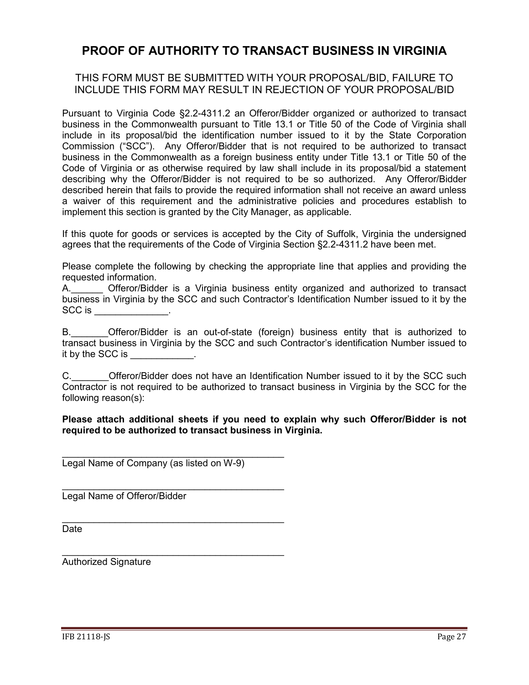## <span id="page-26-0"></span>**PROOF OF AUTHORITY TO TRANSACT BUSINESS IN VIRGINIA**

## THIS FORM MUST BE SUBMITTED WITH YOUR PROPOSAL/BID, FAILURE TO INCLUDE THIS FORM MAY RESULT IN REJECTION OF YOUR PROPOSAL/BID

Pursuant to Virginia Code §2.2-4311.2 an Offeror/Bidder organized or authorized to transact business in the Commonwealth pursuant to Title 13.1 or Title 50 of the Code of Virginia shall include in its proposal/bid the identification number issued to it by the State Corporation Commission ("SCC"). Any Offeror/Bidder that is not required to be authorized to transact business in the Commonwealth as a foreign business entity under Title 13.1 or Title 50 of the Code of Virginia or as otherwise required by law shall include in its proposal/bid a statement describing why the Offeror/Bidder is not required to be so authorized. Any Offeror/Bidder described herein that fails to provide the required information shall not receive an award unless a waiver of this requirement and the administrative policies and procedures establish to implement this section is granted by the City Manager, as applicable.

If this quote for goods or services is accepted by the City of Suffolk, Virginia the undersigned agrees that the requirements of the Code of Virginia Section §2.2-4311.2 have been met.

Please complete the following by checking the appropriate line that applies and providing the requested information.

A. Cfferor/Bidder is a Virginia business entity organized and authorized to transact business in Virginia by the SCC and such Contractor's Identification Number issued to it by the SCC is \_\_\_\_\_\_\_\_\_\_\_.

B. Offeror/Bidder is an out-of-state (foreign) business entity that is authorized to transact business in Virginia by the SCC and such Contractor's identification Number issued to it by the SCC is

C. C. Cital Offeror/Bidder does not have an Identification Number issued to it by the SCC such Contractor is not required to be authorized to transact business in Virginia by the SCC for the following reason(s):

## **Please attach additional sheets if you need to explain why such Offeror/Bidder is not required to be authorized to transact business in Virginia.**

\_\_\_\_\_\_\_\_\_\_\_\_\_\_\_\_\_\_\_\_\_\_\_\_\_\_\_\_\_\_\_\_\_\_\_\_\_\_\_\_\_\_ Legal Name of Company (as listed on W-9)

\_\_\_\_\_\_\_\_\_\_\_\_\_\_\_\_\_\_\_\_\_\_\_\_\_\_\_\_\_\_\_\_\_\_\_\_\_\_\_\_\_\_

\_\_\_\_\_\_\_\_\_\_\_\_\_\_\_\_\_\_\_\_\_\_\_\_\_\_\_\_\_\_\_\_\_\_\_\_\_\_\_\_\_\_ Legal Name of Offeror/Bidder

Date

\_\_\_\_\_\_\_\_\_\_\_\_\_\_\_\_\_\_\_\_\_\_\_\_\_\_\_\_\_\_\_\_\_\_\_\_\_\_\_\_\_\_ Authorized Signature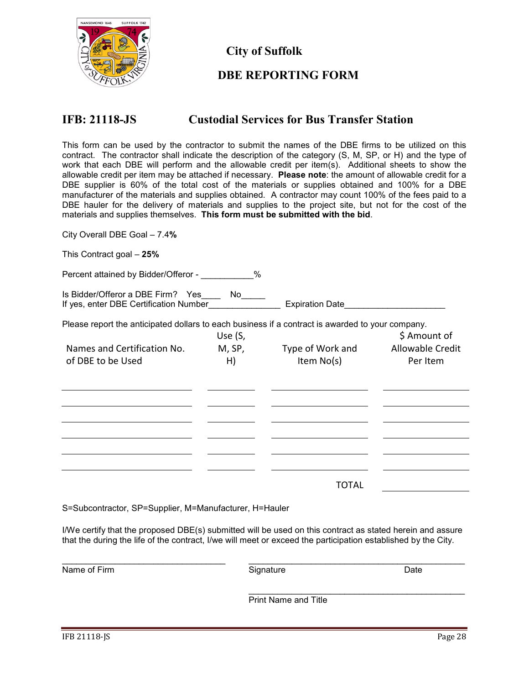

**City of Suffolk**

## <span id="page-27-0"></span>**DBE REPORTING FORM**

## **IFB: 21118-JS Custodial Services for Bus Transfer Station**

This form can be used by the contractor to submit the names of the DBE firms to be utilized on this contract. The contractor shall indicate the description of the category (S, M, SP, or H) and the type of work that each DBE will perform and the allowable credit per item(s). Additional sheets to show the allowable credit per item may be attached if necessary. **Please note**: the amount of allowable credit for a DBE supplier is 60% of the total cost of the materials or supplies obtained and 100% for a DBE manufacturer of the materials and supplies obtained. A contractor may count 100% of the fees paid to a DBE hauler for the delivery of materials and supplies to the project site, but not for the cost of the materials and supplies themselves. **This form must be submitted with the bid**.

City Overall DBE Goal – 7.4**%**

This Contract goal – **25%**

Percent attained by Bidder/Offeror - \_\_\_\_\_\_\_\_\_\_%

Is Bidder/Offeror a DBE Firm? Yes\_\_\_\_ No\_\_\_\_\_<br>If yes, enter DBE Certification Number\_\_\_\_\_\_\_\_\_\_\_\_\_ If yes, enter DBE Certification Number\_\_\_\_\_\_\_\_\_\_\_\_\_\_\_ Expiration Date\_\_\_\_\_\_\_\_\_\_\_\_\_\_\_\_\_\_\_\_\_

Please report the anticipated dollars to each business if a contract is awarded to your company.

| Names and Certification No. | Use (S,<br>M, SP, | Type of Work and | \$ Amount of<br>Allowable Credit |
|-----------------------------|-------------------|------------------|----------------------------------|
| of DBE to be Used           | H)                | Item No(s)       | Per Item                         |
|                             |                   |                  |                                  |
|                             |                   |                  |                                  |
|                             |                   |                  |                                  |
|                             |                   |                  |                                  |
|                             |                   |                  |                                  |
|                             |                   |                  |                                  |
|                             |                   |                  |                                  |
|                             |                   | TOTAL            |                                  |

S=Subcontractor, SP=Supplier, M=Manufacturer, H=Hauler

I/We certify that the proposed DBE(s) submitted will be used on this contract as stated herein and assure that the during the life of the contract, I/we will meet or exceed the participation established by the City.

\_\_\_\_\_\_\_\_\_\_\_\_\_\_\_\_\_\_\_\_\_\_\_\_\_\_\_\_\_\_\_\_\_\_ \_\_\_\_\_\_\_\_\_\_\_\_\_\_\_\_\_\_\_\_\_\_\_\_\_\_\_\_\_\_\_\_\_\_\_\_\_\_\_\_\_\_\_\_\_ Name of Firm **Signature Contained Act Signature Contained Act and Date** Date \_\_\_\_\_\_\_\_\_\_\_\_\_\_\_\_\_\_\_\_\_\_\_\_\_\_\_\_\_\_\_\_\_\_\_\_\_\_\_\_\_\_\_\_\_ Print Name and Title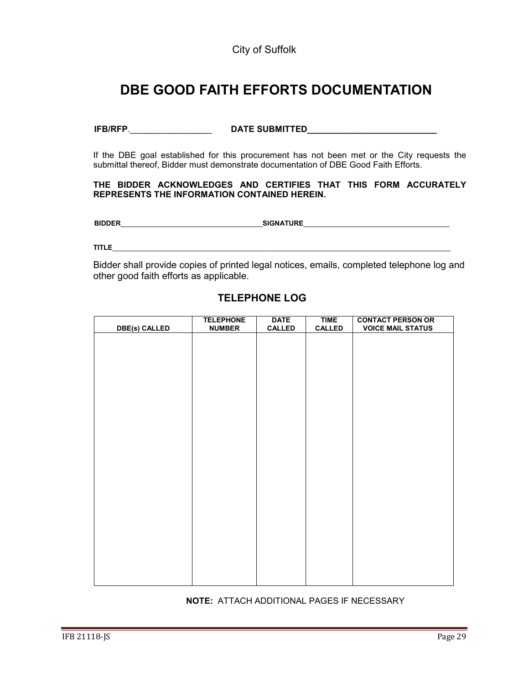## <span id="page-28-0"></span> **DBE GOOD FAITH EFFORTS DOCUMENTATION**

## **IFB/RFP**.\_\_\_\_\_\_\_\_\_\_\_\_\_\_\_\_\_ **DATE SUBMITTED\_\_\_\_\_\_\_\_\_\_\_\_\_\_\_\_\_\_\_\_\_\_\_\_\_\_\_**

If the DBE goal established for this procurement has not been met or the City requests the submittal thereof, Bidder must demonstrate documentation of DBE Good Faith Efforts.

#### **THE BIDDER ACKNOWLEDGES AND CERTIFIES THAT THIS FORM ACCURATELY REPRESENTS THE INFORMATION CONTAINED HEREIN.**

**BIDDER**\_\_\_\_\_\_\_\_\_\_\_\_\_\_\_\_\_\_\_\_\_\_\_\_\_\_\_\_\_\_\_\_\_\_\_\_\_**SIGNATURE**\_\_\_\_\_\_\_\_\_\_\_\_\_\_\_\_\_\_\_\_\_\_\_\_\_\_\_\_\_\_\_\_\_\_\_\_\_\_

**TITLE**\_\_\_\_\_\_\_\_\_\_\_\_\_\_\_\_\_\_\_\_\_\_\_\_\_\_\_\_\_\_\_\_\_\_\_\_\_\_\_\_\_\_\_\_\_\_\_\_\_\_\_\_\_\_\_\_\_\_\_\_\_\_\_\_\_\_\_\_\_\_\_\_\_\_\_\_\_\_\_\_\_\_\_\_\_\_\_\_

Bidder shall provide copies of printed legal notices, emails, completed telephone log and other good faith efforts as applicable.

# **DBE(s) CALLED TELEPHONE NUMBER DATE CALLED TIME CALLED CONTACT PERSON OR VOICE MAIL STATUS**

## **TELEPHONE LOG**

**NOTE:** ATTACH ADDITIONAL PAGES IF NECESSARY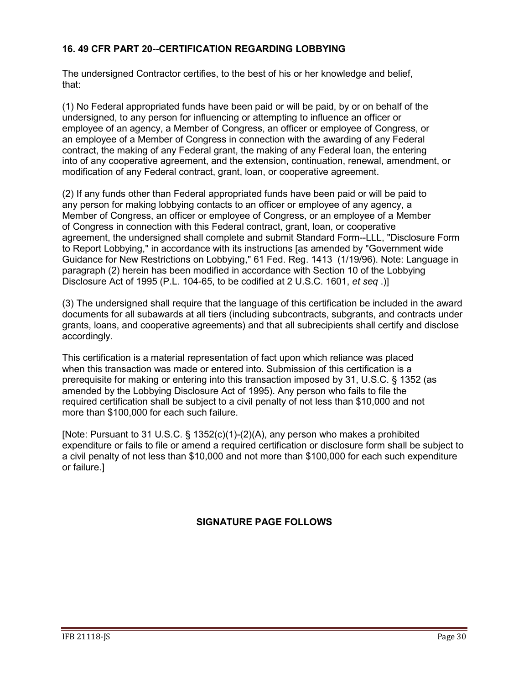## <span id="page-29-0"></span>**16. 49 CFR PART 20--CERTIFICATION REGARDING LOBBYING**

The undersigned Contractor certifies, to the best of his or her knowledge and belief, that:

(1) No Federal appropriated funds have been paid or will be paid, by or on behalf of the undersigned, to any person for influencing or attempting to influence an officer or employee of an agency, a Member of Congress, an officer or employee of Congress, or an employee of a Member of Congress in connection with the awarding of any Federal contract, the making of any Federal grant, the making of any Federal loan, the entering into of any cooperative agreement, and the extension, continuation, renewal, amendment, or modification of any Federal contract, grant, loan, or cooperative agreement.

(2) If any funds other than Federal appropriated funds have been paid or will be paid to any person for making lobbying contacts to an officer or employee of any agency, a Member of Congress, an officer or employee of Congress, or an employee of a Member of Congress in connection with this Federal contract, grant, loan, or cooperative agreement, the undersigned shall complete and submit Standard Form--LLL, "Disclosure Form to Report Lobbying," in accordance with its instructions [as amended by "Government wide Guidance for New Restrictions on Lobbying," 61 Fed. Reg. 1413 (1/19/96). Note: Language in paragraph (2) herein has been modified in accordance with Section 10 of the Lobbying Disclosure Act of 1995 (P.L. 104-65, to be codified at 2 U.S.C. 1601, *et seq* .)]

(3) The undersigned shall require that the language of this certification be included in the award documents for all subawards at all tiers (including subcontracts, subgrants, and contracts under grants, loans, and cooperative agreements) and that all subrecipients shall certify and disclose accordingly.

This certification is a material representation of fact upon which reliance was placed when this transaction was made or entered into. Submission of this certification is a prerequisite for making or entering into this transaction imposed by 31, U.S.C. § 1352 (as amended by the Lobbying Disclosure Act of 1995). Any person who fails to file the required certification shall be subject to a civil penalty of not less than \$10,000 and not more than \$100,000 for each such failure.

[Note: Pursuant to 31 U.S.C. § 1352(c)(1)-(2)(A), any person who makes a prohibited expenditure or fails to file or amend a required certification or disclosure form shall be subject to a civil penalty of not less than \$10,000 and not more than \$100,000 for each such expenditure or failure.]

## **SIGNATURE PAGE FOLLOWS**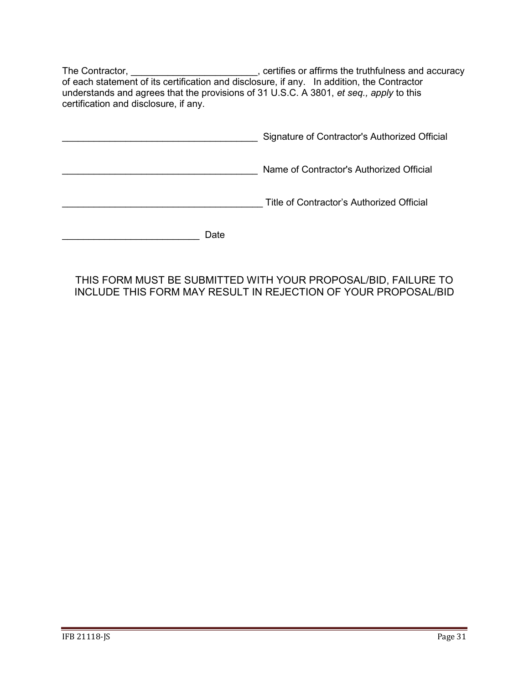The Contractor, \_\_\_\_\_\_\_\_\_\_\_\_\_\_\_\_\_\_\_\_\_\_\_\_, certifies or affirms the truthfulness and accuracy of each statement of its certification and disclosure, if any. In addition, the Contractor understands and agrees that the provisions of 31 U.S.C. A 3801, *et seq., apply* to this certification and disclosure, if any.

|      | Signature of Contractor's Authorized Official |
|------|-----------------------------------------------|
|      | Name of Contractor's Authorized Official      |
|      | Title of Contractor's Authorized Official     |
| Date |                                               |

## THIS FORM MUST BE SUBMITTED WITH YOUR PROPOSAL/BID, FAILURE TO INCLUDE THIS FORM MAY RESULT IN REJECTION OF YOUR PROPOSAL/BID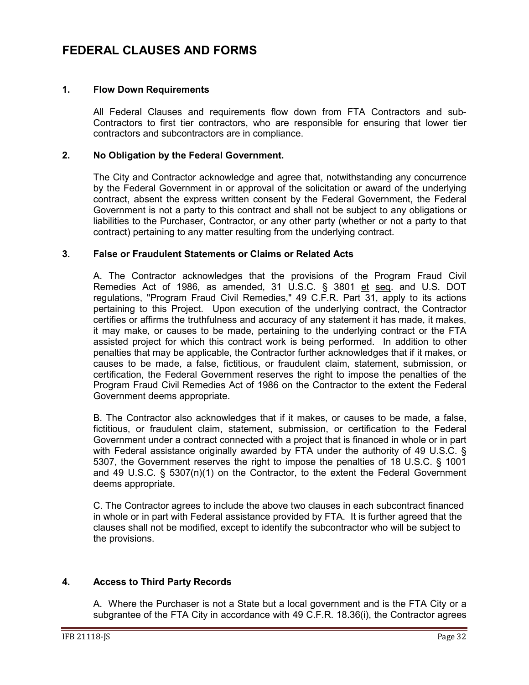## <span id="page-31-0"></span>**FEDERAL CLAUSES AND FORMS**

#### **1. Flow Down Requirements**

All Federal Clauses and requirements flow down from FTA Contractors and sub-Contractors to first tier contractors, who are responsible for ensuring that lower tier contractors and subcontractors are in compliance.

## **2. No Obligation by the Federal Government.**

The City and Contractor acknowledge and agree that, notwithstanding any concurrence by the Federal Government in or approval of the solicitation or award of the underlying contract, absent the express written consent by the Federal Government, the Federal Government is not a party to this contract and shall not be subject to any obligations or liabilities to the Purchaser, Contractor, or any other party (whether or not a party to that contract) pertaining to any matter resulting from the underlying contract.

## **3. False or Fraudulent Statements or Claims or Related Acts**

A. The Contractor acknowledges that the provisions of the Program Fraud Civil Remedies Act of 1986, as amended, 31 U.S.C. § 3801 et seq. and U.S. DOT regulations, "Program Fraud Civil Remedies," 49 C.F.R. Part 31, apply to its actions pertaining to this Project. Upon execution of the underlying contract, the Contractor certifies or affirms the truthfulness and accuracy of any statement it has made, it makes, it may make, or causes to be made, pertaining to the underlying contract or the FTA assisted project for which this contract work is being performed. In addition to other penalties that may be applicable, the Contractor further acknowledges that if it makes, or causes to be made, a false, fictitious, or fraudulent claim, statement, submission, or certification, the Federal Government reserves the right to impose the penalties of the Program Fraud Civil Remedies Act of 1986 on the Contractor to the extent the Federal Government deems appropriate.

B. The Contractor also acknowledges that if it makes, or causes to be made, a false, fictitious, or fraudulent claim, statement, submission, or certification to the Federal Government under a contract connected with a project that is financed in whole or in part with Federal assistance originally awarded by FTA under the authority of 49 U.S.C. § 5307, the Government reserves the right to impose the penalties of 18 U.S.C. § 1001 and 49 U.S.C.  $\S$  5307(n)(1) on the Contractor, to the extent the Federal Government deems appropriate.

C. The Contractor agrees to include the above two clauses in each subcontract financed in whole or in part with Federal assistance provided by FTA. It is further agreed that the clauses shall not be modified, except to identify the subcontractor who will be subject to the provisions.

## **4. Access to Third Party Records**

A. Where the Purchaser is not a State but a local government and is the FTA City or a subgrantee of the FTA City in accordance with 49 C.F.R. 18.36(i), the Contractor agrees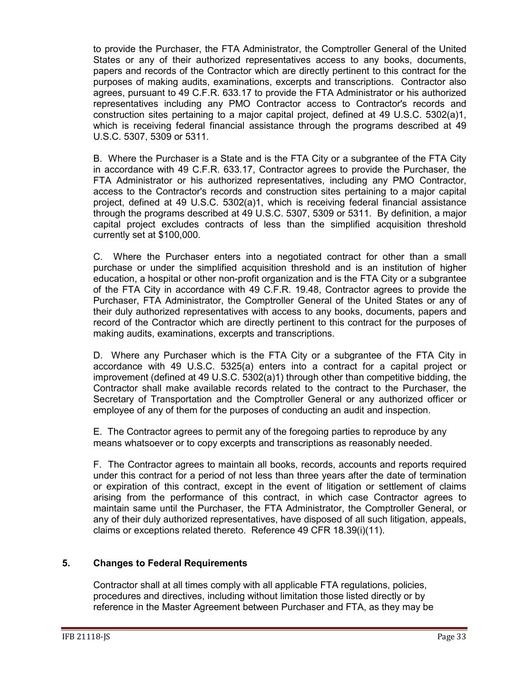to provide the Purchaser, the FTA Administrator, the Comptroller General of the United States or any of their authorized representatives access to any books, documents, papers and records of the Contractor which are directly pertinent to this contract for the purposes of making audits, examinations, excerpts and transcriptions. Contractor also agrees, pursuant to 49 C.F.R. 633.17 to provide the FTA Administrator or his authorized representatives including any PMO Contractor access to Contractor's records and construction sites pertaining to a major capital project, defined at 49 U.S.C. 5302(a)1, which is receiving federal financial assistance through the programs described at 49 U.S.C. 5307, 5309 or 5311.

B. Where the Purchaser is a State and is the FTA City or a subgrantee of the FTA City in accordance with 49 C.F.R. 633.17, Contractor agrees to provide the Purchaser, the FTA Administrator or his authorized representatives, including any PMO Contractor, access to the Contractor's records and construction sites pertaining to a major capital project, defined at 49 U.S.C. 5302(a)1, which is receiving federal financial assistance through the programs described at 49 U.S.C. 5307, 5309 or 5311. By definition, a major capital project excludes contracts of less than the simplified acquisition threshold currently set at \$100,000.

C. Where the Purchaser enters into a negotiated contract for other than a small purchase or under the simplified acquisition threshold and is an institution of higher education, a hospital or other non-profit organization and is the FTA City or a subgrantee of the FTA City in accordance with 49 C.F.R. 19.48, Contractor agrees to provide the Purchaser, FTA Administrator, the Comptroller General of the United States or any of their duly authorized representatives with access to any books, documents, papers and record of the Contractor which are directly pertinent to this contract for the purposes of making audits, examinations, excerpts and transcriptions.

D. Where any Purchaser which is the FTA City or a subgrantee of the FTA City in accordance with 49 U.S.C. 5325(a) enters into a contract for a capital project or improvement (defined at 49 U.S.C. 5302(a)1) through other than competitive bidding, the Contractor shall make available records related to the contract to the Purchaser, the Secretary of Transportation and the Comptroller General or any authorized officer or employee of any of them for the purposes of conducting an audit and inspection.

E. The Contractor agrees to permit any of the foregoing parties to reproduce by any means whatsoever or to copy excerpts and transcriptions as reasonably needed.

F. The Contractor agrees to maintain all books, records, accounts and reports required under this contract for a period of not less than three years after the date of termination or expiration of this contract, except in the event of litigation or settlement of claims arising from the performance of this contract, in which case Contractor agrees to maintain same until the Purchaser, the FTA Administrator, the Comptroller General, or any of their duly authorized representatives, have disposed of all such litigation, appeals, claims or exceptions related thereto. Reference 49 CFR 18.39(i)(11).

## **5. Changes to Federal Requirements**

Contractor shall at all times comply with all applicable FTA regulations, policies, procedures and directives, including without limitation those listed directly or by reference in the Master Agreement between Purchaser and FTA, as they may be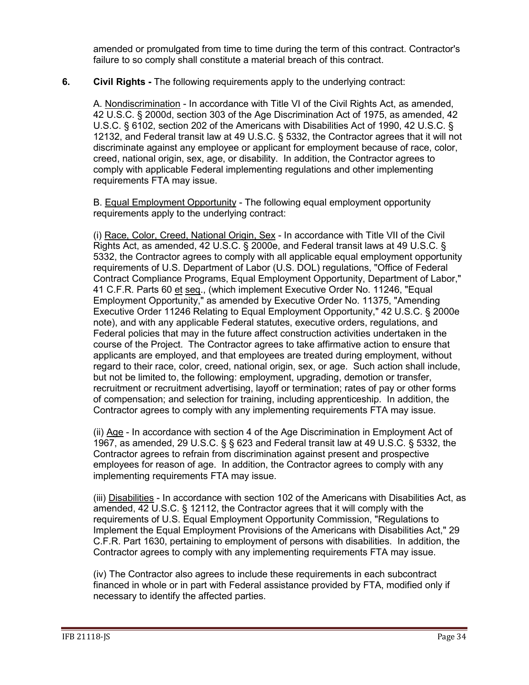amended or promulgated from time to time during the term of this contract. Contractor's failure to so comply shall constitute a material breach of this contract.

## **6. Civil Rights -** The following requirements apply to the underlying contract:

A. Nondiscrimination - In accordance with Title VI of the Civil Rights Act, as amended, 42 U.S.C. § 2000d, section 303 of the Age Discrimination Act of 1975, as amended, 42 U.S.C. § 6102, section 202 of the Americans with Disabilities Act of 1990, 42 U.S.C. § 12132, and Federal transit law at 49 U.S.C. § 5332, the Contractor agrees that it will not discriminate against any employee or applicant for employment because of race, color, creed, national origin, sex, age, or disability. In addition, the Contractor agrees to comply with applicable Federal implementing regulations and other implementing requirements FTA may issue.

B. Equal Employment Opportunity - The following equal employment opportunity requirements apply to the underlying contract:

(i) Race, Color, Creed, National Origin, Sex - In accordance with Title VII of the Civil Rights Act, as amended, 42 U.S.C. § 2000e, and Federal transit laws at 49 U.S.C. § 5332, the Contractor agrees to comply with all applicable equal employment opportunity requirements of U.S. Department of Labor (U.S. DOL) regulations, "Office of Federal Contract Compliance Programs, Equal Employment Opportunity, Department of Labor," 41 C.F.R. Parts 60 et seq., (which implement Executive Order No. 11246, "Equal Employment Opportunity," as amended by Executive Order No. 11375, "Amending Executive Order 11246 Relating to Equal Employment Opportunity," 42 U.S.C. § 2000e note), and with any applicable Federal statutes, executive orders, regulations, and Federal policies that may in the future affect construction activities undertaken in the course of the Project. The Contractor agrees to take affirmative action to ensure that applicants are employed, and that employees are treated during employment, without regard to their race, color, creed, national origin, sex, or age. Such action shall include, but not be limited to, the following: employment, upgrading, demotion or transfer, recruitment or recruitment advertising, layoff or termination; rates of pay or other forms of compensation; and selection for training, including apprenticeship. In addition, the Contractor agrees to comply with any implementing requirements FTA may issue.

(ii) Age - In accordance with section 4 of the Age Discrimination in Employment Act of 1967, as amended, 29 U.S.C. § § 623 and Federal transit law at 49 U.S.C. § 5332, the Contractor agrees to refrain from discrimination against present and prospective employees for reason of age. In addition, the Contractor agrees to comply with any implementing requirements FTA may issue.

(iii) Disabilities - In accordance with section 102 of the Americans with Disabilities Act, as amended, 42 U.S.C. § 12112, the Contractor agrees that it will comply with the requirements of U.S. Equal Employment Opportunity Commission, "Regulations to Implement the Equal Employment Provisions of the Americans with Disabilities Act," 29 C.F.R. Part 1630, pertaining to employment of persons with disabilities. In addition, the Contractor agrees to comply with any implementing requirements FTA may issue.

(iv) The Contractor also agrees to include these requirements in each subcontract financed in whole or in part with Federal assistance provided by FTA, modified only if necessary to identify the affected parties.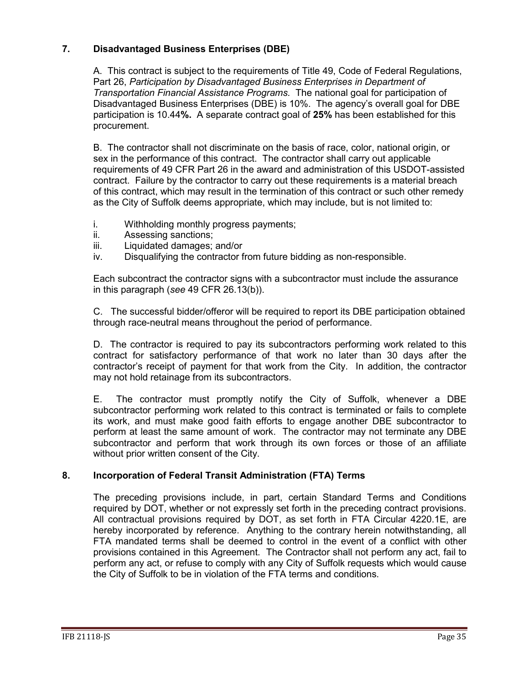## **7. Disadvantaged Business Enterprises (DBE)**

A. This contract is subject to the requirements of Title 49, Code of Federal Regulations, Part 26, *Participation by Disadvantaged Business Enterprises in Department of Transportation Financial Assistance Programs.* The national goal for participation of Disadvantaged Business Enterprises (DBE) is 10%. The agency's overall goal for DBE participation is 10.44**%.** A separate contract goal of **25%** has been established for this procurement.

B. The contractor shall not discriminate on the basis of race, color, national origin, or sex in the performance of this contract. The contractor shall carry out applicable requirements of 49 CFR Part 26 in the award and administration of this USDOT-assisted contract. Failure by the contractor to carry out these requirements is a material breach of this contract, which may result in the termination of this contract or such other remedy as the City of Suffolk deems appropriate, which may include, but is not limited to:

- i. Withholding monthly progress payments;
- ii. Assessing sanctions;
- iii. Liquidated damages; and/or
- iv. Disqualifying the contractor from future bidding as non-responsible.

Each subcontract the contractor signs with a subcontractor must include the assurance in this paragraph (*see* 49 CFR 26.13(b)).

C. The successful bidder/offeror will be required to report its DBE participation obtained through race-neutral means throughout the period of performance.

D. The contractor is required to pay its subcontractors performing work related to this contract for satisfactory performance of that work no later than 30 days after the contractor's receipt of payment for that work from the City. In addition, the contractor may not hold retainage from its subcontractors.

E. The contractor must promptly notify the City of Suffolk, whenever a DBE subcontractor performing work related to this contract is terminated or fails to complete its work, and must make good faith efforts to engage another DBE subcontractor to perform at least the same amount of work. The contractor may not terminate any DBE subcontractor and perform that work through its own forces or those of an affiliate without prior written consent of the City.

## **8. Incorporation of Federal Transit Administration (FTA) Terms**

The preceding provisions include, in part, certain Standard Terms and Conditions required by DOT, whether or not expressly set forth in the preceding contract provisions. All contractual provisions required by DOT, as set forth in FTA Circular 4220.1E, are hereby incorporated by reference. Anything to the contrary herein notwithstanding, all FTA mandated terms shall be deemed to control in the event of a conflict with other provisions contained in this Agreement. The Contractor shall not perform any act, fail to perform any act, or refuse to comply with any City of Suffolk requests which would cause the City of Suffolk to be in violation of the FTA terms and conditions.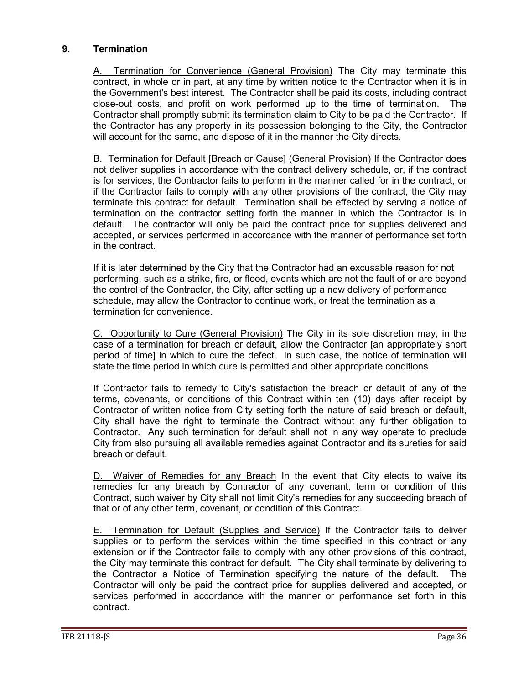## **9. Termination**

A. Termination for Convenience (General Provision) The City may terminate this contract, in whole or in part, at any time by written notice to the Contractor when it is in the Government's best interest. The Contractor shall be paid its costs, including contract close-out costs, and profit on work performed up to the time of termination. The Contractor shall promptly submit its termination claim to City to be paid the Contractor. If the Contractor has any property in its possession belonging to the City, the Contractor will account for the same, and dispose of it in the manner the City directs.

B. Termination for Default [Breach or Cause] (General Provision) If the Contractor does not deliver supplies in accordance with the contract delivery schedule, or, if the contract is for services, the Contractor fails to perform in the manner called for in the contract, or if the Contractor fails to comply with any other provisions of the contract, the City may terminate this contract for default. Termination shall be effected by serving a notice of termination on the contractor setting forth the manner in which the Contractor is in default. The contractor will only be paid the contract price for supplies delivered and accepted, or services performed in accordance with the manner of performance set forth in the contract.

If it is later determined by the City that the Contractor had an excusable reason for not performing, such as a strike, fire, or flood, events which are not the fault of or are beyond the control of the Contractor, the City, after setting up a new delivery of performance schedule, may allow the Contractor to continue work, or treat the termination as a termination for convenience.

C. Opportunity to Cure (General Provision) The City in its sole discretion may, in the case of a termination for breach or default, allow the Contractor [an appropriately short period of time] in which to cure the defect. In such case, the notice of termination will state the time period in which cure is permitted and other appropriate conditions

If Contractor fails to remedy to City's satisfaction the breach or default of any of the terms, covenants, or conditions of this Contract within ten (10) days after receipt by Contractor of written notice from City setting forth the nature of said breach or default, City shall have the right to terminate the Contract without any further obligation to Contractor. Any such termination for default shall not in any way operate to preclude City from also pursuing all available remedies against Contractor and its sureties for said breach or default.

D. Waiver of Remedies for any Breach In the event that City elects to waive its remedies for any breach by Contractor of any covenant, term or condition of this Contract, such waiver by City shall not limit City's remedies for any succeeding breach of that or of any other term, covenant, or condition of this Contract.

E. Termination for Default (Supplies and Service) If the Contractor fails to deliver supplies or to perform the services within the time specified in this contract or any extension or if the Contractor fails to comply with any other provisions of this contract, the City may terminate this contract for default. The City shall terminate by delivering to the Contractor a Notice of Termination specifying the nature of the default. The Contractor will only be paid the contract price for supplies delivered and accepted, or services performed in accordance with the manner or performance set forth in this contract.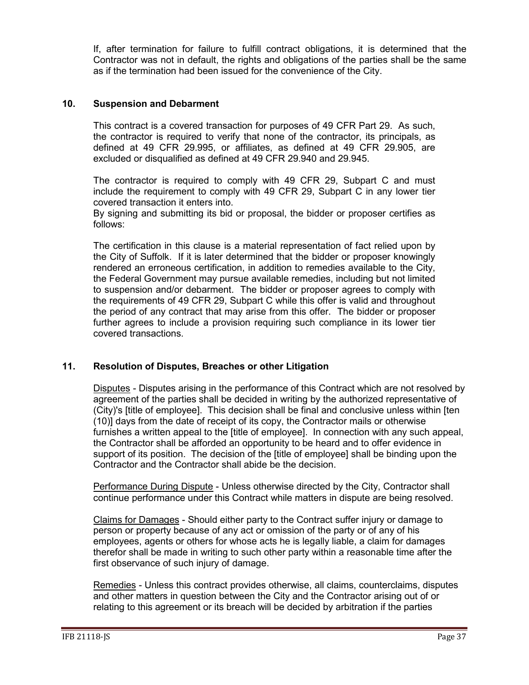If, after termination for failure to fulfill contract obligations, it is determined that the Contractor was not in default, the rights and obligations of the parties shall be the same as if the termination had been issued for the convenience of the City.

## **10. Suspension and Debarment**

This contract is a covered transaction for purposes of 49 CFR Part 29. As such, the contractor is required to verify that none of the contractor, its principals, as defined at 49 CFR 29.995, or affiliates, as defined at 49 CFR 29.905, are excluded or disqualified as defined at 49 CFR 29.940 and 29.945.

The contractor is required to comply with 49 CFR 29, Subpart C and must include the requirement to comply with 49 CFR 29, Subpart C in any lower tier covered transaction it enters into.

By signing and submitting its bid or proposal, the bidder or proposer certifies as follows:

The certification in this clause is a material representation of fact relied upon by the City of Suffolk. If it is later determined that the bidder or proposer knowingly rendered an erroneous certification, in addition to remedies available to the City, the Federal Government may pursue available remedies, including but not limited to suspension and/or debarment. The bidder or proposer agrees to comply with the requirements of 49 CFR 29, Subpart C while this offer is valid and throughout the period of any contract that may arise from this offer. The bidder or proposer further agrees to include a provision requiring such compliance in its lower tier covered transactions.

## **11. Resolution of Disputes, Breaches or other Litigation**

Disputes - Disputes arising in the performance of this Contract which are not resolved by agreement of the parties shall be decided in writing by the authorized representative of (City)'s [title of employee]. This decision shall be final and conclusive unless within [ten (10)] days from the date of receipt of its copy, the Contractor mails or otherwise furnishes a written appeal to the [title of employee]. In connection with any such appeal, the Contractor shall be afforded an opportunity to be heard and to offer evidence in support of its position. The decision of the [title of employee] shall be binding upon the Contractor and the Contractor shall abide be the decision.

Performance During Dispute - Unless otherwise directed by the City, Contractor shall continue performance under this Contract while matters in dispute are being resolved.

Claims for Damages - Should either party to the Contract suffer injury or damage to person or property because of any act or omission of the party or of any of his employees, agents or others for whose acts he is legally liable, a claim for damages therefor shall be made in writing to such other party within a reasonable time after the first observance of such injury of damage.

Remedies - Unless this contract provides otherwise, all claims, counterclaims, disputes and other matters in question between the City and the Contractor arising out of or relating to this agreement or its breach will be decided by arbitration if the parties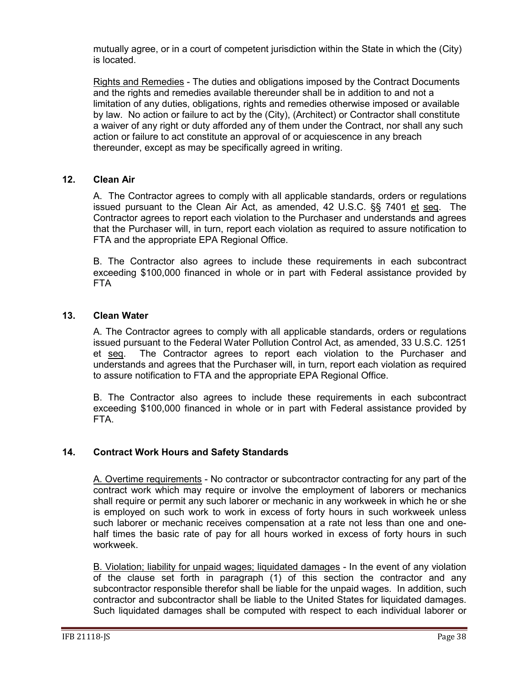mutually agree, or in a court of competent jurisdiction within the State in which the (City) is located.

Rights and Remedies - The duties and obligations imposed by the Contract Documents and the rights and remedies available thereunder shall be in addition to and not a limitation of any duties, obligations, rights and remedies otherwise imposed or available by law. No action or failure to act by the (City), (Architect) or Contractor shall constitute a waiver of any right or duty afforded any of them under the Contract, nor shall any such action or failure to act constitute an approval of or acquiescence in any breach thereunder, except as may be specifically agreed in writing.

## **12. Clean Air**

A. The Contractor agrees to comply with all applicable standards, orders or regulations issued pursuant to the Clean Air Act, as amended, 42 U.S.C. §§ 7401 et seq. The Contractor agrees to report each violation to the Purchaser and understands and agrees that the Purchaser will, in turn, report each violation as required to assure notification to FTA and the appropriate EPA Regional Office.

B. The Contractor also agrees to include these requirements in each subcontract exceeding \$100,000 financed in whole or in part with Federal assistance provided by FTA

## **13. Clean Water**

A. The Contractor agrees to comply with all applicable standards, orders or regulations issued pursuant to the Federal Water Pollution Control Act, as amended, 33 U.S.C. 1251 et seq. The Contractor agrees to report each violation to the Purchaser and understands and agrees that the Purchaser will, in turn, report each violation as required to assure notification to FTA and the appropriate EPA Regional Office.

B. The Contractor also agrees to include these requirements in each subcontract exceeding \$100,000 financed in whole or in part with Federal assistance provided by FTA.

## **14. Contract Work Hours and Safety Standards**

A. Overtime requirements - No contractor or subcontractor contracting for any part of the contract work which may require or involve the employment of laborers or mechanics shall require or permit any such laborer or mechanic in any workweek in which he or she is employed on such work to work in excess of forty hours in such workweek unless such laborer or mechanic receives compensation at a rate not less than one and onehalf times the basic rate of pay for all hours worked in excess of forty hours in such workweek.

B. Violation; liability for unpaid wages; liquidated damages - In the event of any violation of the clause set forth in paragraph (1) of this section the contractor and any subcontractor responsible therefor shall be liable for the unpaid wages. In addition, such contractor and subcontractor shall be liable to the United States for liquidated damages. Such liquidated damages shall be computed with respect to each individual laborer or